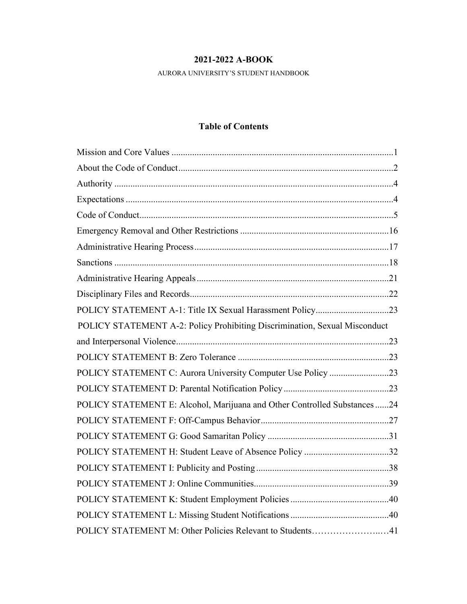# **2021-2022 A-BOOK**

AURORA UNIVERSITY'S STUDENT HANDBOOK

# **Table of Contents**

| POLICY STATEMENT A-2: Policy Prohibiting Discrimination, Sexual Misconduct |  |  |
|----------------------------------------------------------------------------|--|--|
|                                                                            |  |  |
|                                                                            |  |  |
| POLICY STATEMENT C: Aurora University Computer Use Policy 23               |  |  |
|                                                                            |  |  |
| POLICY STATEMENT E: Alcohol, Marijuana and Other Controlled Substances 24  |  |  |
|                                                                            |  |  |
|                                                                            |  |  |
| POLICY STATEMENT H: Student Leave of Absence Policy 32                     |  |  |
|                                                                            |  |  |
|                                                                            |  |  |
|                                                                            |  |  |
|                                                                            |  |  |
| POLICY STATEMENT M: Other Policies Relevant to Students41                  |  |  |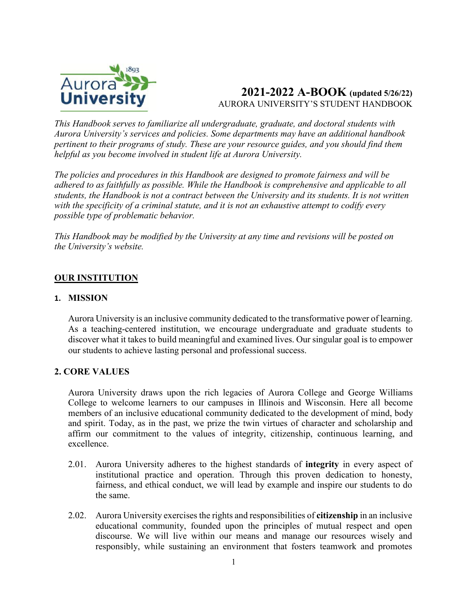

# **2021-2022 A-BOOK (updated 5/26/22)** AURORA UNIVERSITY'S STUDENT HANDBOOK

*This Handbook serves to familiarize all undergraduate, graduate, and doctoral students with Aurora University's services and policies. Some departments may have an additional handbook pertinent to their programs of study. These are your resource guides, and you should find them helpful as you become involved in student life at Aurora University.* 

*The policies and procedures in this Handbook are designed to promote fairness and will be adhered to as faithfully as possible. While the Handbook is comprehensive and applicable to all students, the Handbook is not a contract between the University and its students. It is not written with the specificity of a criminal statute, and it is not an exhaustive attempt to codify every possible type of problematic behavior.* 

*This Handbook may be modified by the University at any time and revisions will be posted on the University's website.* 

# **OUR INSTITUTION**

### **1. MISSION**

Aurora University is an inclusive community dedicated to the transformative power of learning. As a teaching-centered institution, we encourage undergraduate and graduate students to discover what it takes to build meaningful and examined lives. Our singular goal is to empower our students to achieve lasting personal and professional success.

### **2. CORE VALUES**

Aurora University draws upon the rich legacies of Aurora College and George Williams College to welcome learners to our campuses in Illinois and Wisconsin. Here all become members of an inclusive educational community dedicated to the development of mind, body and spirit. Today, as in the past, we prize the twin virtues of character and scholarship and affirm our commitment to the values of integrity, citizenship, continuous learning, and excellence.

- 2.01. Aurora University adheres to the highest standards of **integrity** in every aspect of institutional practice and operation. Through this proven dedication to honesty, fairness, and ethical conduct, we will lead by example and inspire our students to do the same.
- 2.02. Aurora University exercises the rights and responsibilities of **citizenship** in an inclusive educational community, founded upon the principles of mutual respect and open discourse. We will live within our means and manage our resources wisely and responsibly, while sustaining an environment that fosters teamwork and promotes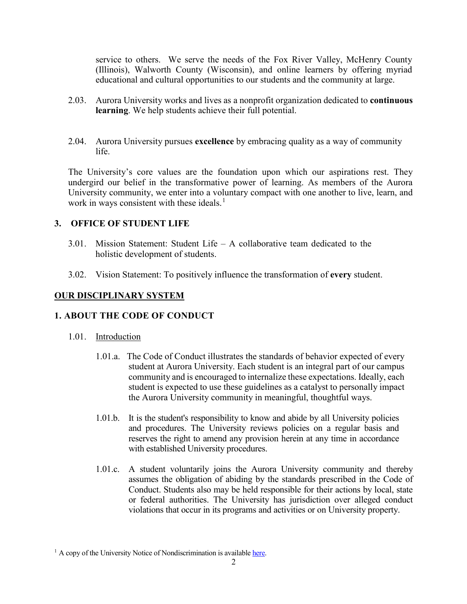service to others. We serve the needs of the Fox River Valley, McHenry County (Illinois), Walworth County (Wisconsin), and online learners by offering myriad educational and cultural opportunities to our students and the community at large.

- 2.03. Aurora University works and lives as a nonprofit organization dedicated to **continuous learning**. We help students achieve their full potential.
- 2.04. Aurora University pursues **excellence** by embracing quality as a way of community life.

The University's core values are the foundation upon which our aspirations rest. They undergird our belief in the transformative power of learning. As members of the Aurora University community, we enter into a voluntary compact with one another to live, learn, and work in ways consistent with these ideals. $<sup>1</sup>$  $<sup>1</sup>$  $<sup>1</sup>$ </sup>

## **3. OFFICE OF STUDENT LIFE**

- 3.01. Mission Statement: Student Life A collaborative team dedicated to the holistic development of students.
- 3.02. Vision Statement: To positively influence the transformation of **every** student.

### **OUR DISCIPLINARY SYSTEM**

## **1. ABOUT THE CODE OF CONDUCT**

- 1.01. Introduction
	- 1.01.a. The Code of Conduct illustrates the standards of behavior expected of every student at Aurora University. Each student is an integral part of our campus community and is encouraged to internalize these expectations. Ideally, each student is expected to use these guidelines as a catalyst to personally impact the Aurora University community in meaningful, thoughtful ways.
	- 1.01.b. It is the student's responsibility to know and abide by all University policies and procedures. The University reviews policies on a regular basis and reserves the right to amend any provision herein at any time in accordance with established University procedures.
	- 1.01.c. A student voluntarily joins the Aurora University community and thereby assumes the obligation of abiding by the standards prescribed in the Code of Conduct. Students also may be held responsible for their actions by local, state or federal authorities. The University has jurisdiction over alleged conduct violations that occur in its programs and activities or on University property.

<span id="page-2-0"></span> $1$  A copy of the University Notice of Nondiscrimination is available [here.](https://aurora.edu/documents/policies/university-notice-of-nondiscrimination.pdf)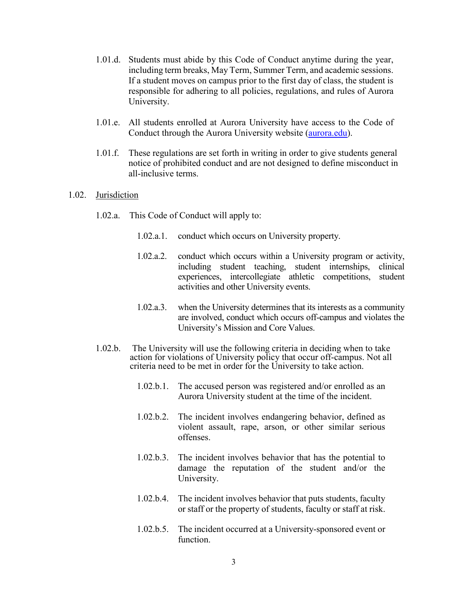- 1.01.d. Students must abide by this Code of Conduct anytime during the year, including term breaks, May Term, Summer Term, and academic sessions. If a student moves on campus prior to the first day of class, the student is responsible for adhering to all policies, regulations, and rules of Aurora University.
- 1.01.e. All students enrolled at Aurora University have access to the Code of Conduct through the Aurora University website [\(aurora.edu\)](https://aurora.edu/).
- 1.01.f. These regulations are set forth in writing in order to give students general notice of prohibited conduct and are not designed to define misconduct in all-inclusive terms.

#### 1.02. Jurisdiction

- 1.02.a. This Code of Conduct will apply to:
	- 1.02.a.1. conduct which occurs on University property.
	- 1.02.a.2. conduct which occurs within a University program or activity, including student teaching, student internships, clinical experiences, intercollegiate athletic competitions, student activities and other University events.
	- 1.02.a.3. when the University determines that its interests as a community are involved, conduct which occurs off-campus and violates the University's Mission and Core Values.
- 1.02.b. The University will use the following criteria in deciding when to take action for violations of University policy that occur off-campus. Not all criteria need to be met in order for the University to take action.
	- 1.02.b.1. The accused person was registered and/or enrolled as an Aurora University student at the time of the incident.
	- 1.02.b.2. The incident involves endangering behavior, defined as violent assault, rape, arson, or other similar serious offenses.
	- 1.02.b.3. The incident involves behavior that has the potential to damage the reputation of the student and/or the University.
	- 1.02.b.4. The incident involves behavior that puts students, faculty or staff or the property of students, faculty or staff at risk.
	- 1.02.b.5. The incident occurred at a University-sponsored event or function.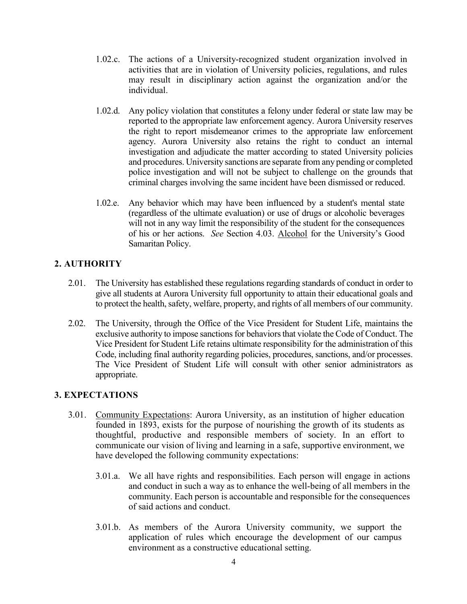- 1.02.c. The actions of a University-recognized student organization involved in activities that are in violation of University policies, regulations, and rules may result in disciplinary action against the organization and/or the individual.
- 1.02.d. Any policy violation that constitutes a felony under federal or state law may be reported to the appropriate law enforcement agency. Aurora University reserves the right to report misdemeanor crimes to the appropriate law enforcement agency. Aurora University also retains the right to conduct an internal investigation and adjudicate the matter according to stated University policies and procedures. University sanctions are separate from any pending or completed police investigation and will not be subject to challenge on the grounds that criminal charges involving the same incident have been dismissed or reduced.
- 1.02.e. Any behavior which may have been influenced by a student's mental state (regardless of the ultimate evaluation) or use of drugs or alcoholic beverages will not in any way limit the responsibility of the student for the consequences of his or her actions. *See* Section 4.03. Alcohol for the University's Good Samaritan Policy.

# **2. AUTHORITY**

- 2.01. The University has established these regulations regarding standards of conduct in order to give all students at Aurora University full opportunity to attain their educational goals and to protect the health, safety, welfare, property, and rights of all members of our community.
- 2.02. The University, through the Office of the Vice President for Student Life, maintains the exclusive authority to impose sanctions for behaviors that violate the Code of Conduct. The Vice President for Student Life retains ultimate responsibility for the administration of this Code, including final authority regarding policies, procedures, sanctions, and/or processes. The Vice President of Student Life will consult with other senior administrators as appropriate.

# **3. EXPECTATIONS**

- 3.01. Community Expectations: Aurora University, as an institution of higher education founded in 1893, exists for the purpose of nourishing the growth of its students as thoughtful, productive and responsible members of society. In an effort to communicate our vision of living and learning in a safe, supportive environment, we have developed the following community expectations:
	- 3.01.a. We all have rights and responsibilities. Each person will engage in actions and conduct in such a way as to enhance the well-being of all members in the community. Each person is accountable and responsible for the consequences of said actions and conduct.
	- 3.01.b. As members of the Aurora University community, we support the application of rules which encourage the development of our campus environment as a constructive educational setting.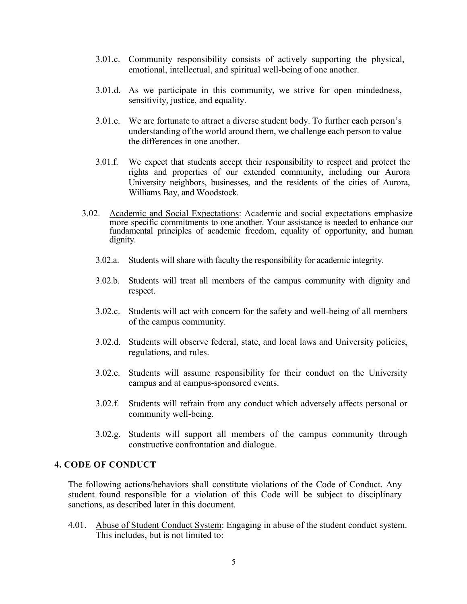- 3.01.c. Community responsibility consists of actively supporting the physical, emotional, intellectual, and spiritual well-being of one another.
- 3.01.d. As we participate in this community, we strive for open mindedness, sensitivity, justice, and equality.
- 3.01.e. We are fortunate to attract a diverse student body. To further each person's understanding of the world around them, we challenge each person to value the differences in one another.
- 3.01.f. We expect that students accept their responsibility to respect and protect the rights and properties of our extended community, including our Aurora University neighbors, businesses, and the residents of the cities of Aurora, Williams Bay, and Woodstock.
- 3.02. Academic and Social Expectations: Academic and social expectations emphasize more specific commitments to one another. Your assistance is needed to enhance our fundamental principles of academic freedom, equality of opportunity, and human dignity.
	- 3.02.a. Students will share with faculty the responsibility for academic integrity.
	- 3.02.b. Students will treat all members of the campus community with dignity and respect.
	- 3.02.c. Students will act with concern for the safety and well-being of all members of the campus community.
	- 3.02.d. Students will observe federal, state, and local laws and University policies, regulations, and rules.
	- 3.02.e. Students will assume responsibility for their conduct on the University campus and at campus-sponsored events.
	- 3.02.f. Students will refrain from any conduct which adversely affects personal or community well-being.
	- 3.02.g. Students will support all members of the campus community through constructive confrontation and dialogue.

#### **4. CODE OF CONDUCT**

The following actions/behaviors shall constitute violations of the Code of Conduct. Any student found responsible for a violation of this Code will be subject to disciplinary sanctions, as described later in this document.

4.01. Abuse of Student Conduct System: Engaging in abuse of the student conduct system. This includes, but is not limited to: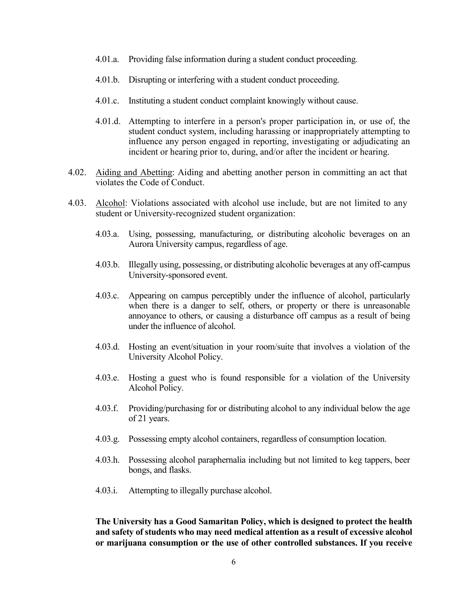- 4.01.a. Providing false information during a student conduct proceeding.
- 4.01.b. Disrupting or interfering with a student conduct proceeding.
- 4.01.c. Instituting a student conduct complaint knowingly without cause.
- 4.01.d. Attempting to interfere in a person's proper participation in, or use of, the student conduct system, including harassing or inappropriately attempting to influence any person engaged in reporting, investigating or adjudicating an incident or hearing prior to, during, and/or after the incident or hearing.
- 4.02. Aiding and Abetting: Aiding and abetting another person in committing an act that violates the Code of Conduct.
- 4.03. Alcohol: Violations associated with alcohol use include, but are not limited to any student or University-recognized student organization:
	- 4.03.a. Using, possessing, manufacturing, or distributing alcoholic beverages on an Aurora University campus, regardless of age.
	- 4.03.b. Illegally using, possessing, or distributing alcoholic beverages at any off-campus University-sponsored event.
	- 4.03.c. Appearing on campus perceptibly under the influence of alcohol, particularly when there is a danger to self, others, or property or there is unreasonable annoyance to others, or causing a disturbance off campus as a result of being under the influence of alcohol.
	- 4.03.d. Hosting an event/situation in your room/suite that involves a violation of the University Alcohol Policy.
	- 4.03.e. Hosting a guest who is found responsible for a violation of the University Alcohol Policy.
	- 4.03.f. Providing/purchasing for or distributing alcohol to any individual below the age of 21 years.
	- 4.03.g. Possessing empty alcohol containers, regardless of consumption location.
	- 4.03.h. Possessing alcohol paraphernalia including but not limited to keg tappers, beer bongs, and flasks.
	- 4.03.i. Attempting to illegally purchase alcohol.

**The University has a Good Samaritan Policy, which is designed to protect the health and safety of students who may need medical attention as a result of excessive alcohol or marijuana consumption or the use of other controlled substances. If you receive**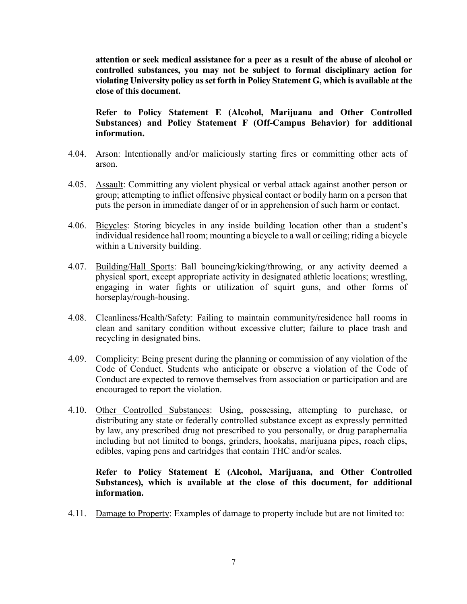**attention or seek medical assistance for a peer as a result of the abuse of alcohol or controlled substances, you may not be subject to formal disciplinary action for violating University policy as set forth in Policy Statement G, which is available at the close of this document.**

**Refer to Policy Statement E (Alcohol, Marijuana and Other Controlled Substances) and Policy Statement F (Off-Campus Behavior) for additional information.** 

- 4.04. Arson: Intentionally and/or maliciously starting fires or committing other acts of arson.
- 4.05. Assault: Committing any violent physical or verbal attack against another person or group; attempting to inflict offensive physical contact or bodily harm on a person that puts the person in immediate danger of or in apprehension of such harm or contact.
- 4.06. Bicycles: Storing bicycles in any inside building location other than a student's individual residence hall room; mounting a bicycle to a wall or ceiling; riding a bicycle within a University building.
- 4.07. Building/Hall Sports: Ball bouncing/kicking/throwing, or any activity deemed a physical sport, except appropriate activity in designated athletic locations; wrestling, engaging in water fights or utilization of squirt guns, and other forms of horseplay/rough-housing.
- 4.08. Cleanliness/Health/Safety: Failing to maintain community/residence hall rooms in clean and sanitary condition without excessive clutter; failure to place trash and recycling in designated bins.
- 4.09. Complicity: Being present during the planning or commission of any violation of the Code of Conduct. Students who anticipate or observe a violation of the Code of Conduct are expected to remove themselves from association or participation and are encouraged to report the violation.
- 4.10. Other Controlled Substances: Using, possessing, attempting to purchase, or distributing any state or federally controlled substance except as expressly permitted by law, any prescribed drug not prescribed to you personally, or drug paraphernalia including but not limited to bongs, grinders, hookahs, marijuana pipes, roach clips, edibles, vaping pens and cartridges that contain THC and/or scales.

**Refer to Policy Statement E (Alcohol, Marijuana, and Other Controlled Substances), which is available at the close of this document, for additional information.** 

4.11. Damage to Property: Examples of damage to property include but are not limited to: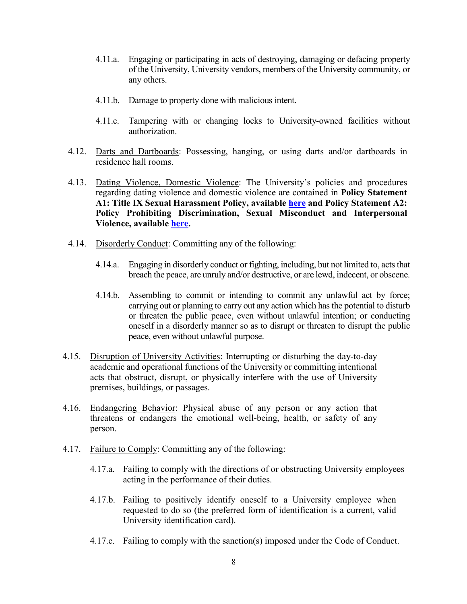- 4.11.a. Engaging or participating in acts of destroying, damaging or defacing property of the University, University vendors, members of the University community, or any others.
- 4.11.b. Damage to property done with malicious intent.
- 4.11.c. Tampering with or changing locks to University-owned facilities without authorization.
- 4.12. Darts and Dartboards: Possessing, hanging, or using darts and/or dartboards in residence hall rooms.
- 4.13. Dating Violence, Domestic Violence: The University's policies and procedures regarding dating violence and domestic violence are contained in **Policy Statement A1: Title IX Sexual Harassment Policy, available [here](https://aurora.edu/documents/policies/title-ix-policy.pdf) and Policy Statement A2: Policy Prohibiting Discrimination, Sexual Misconduct and Interpersonal Violence, available [here.](https://aurora.edu/documents/policies/policy-prohibiting-discrimination.pdf)**
- 4.14. Disorderly Conduct: Committing any of the following:
	- 4.14.a. Engaging in disorderly conduct or fighting, including, but not limited to, acts that breach the peace, are unruly and/or destructive, or are lewd, indecent, or obscene.
	- 4.14.b. Assembling to commit or intending to commit any unlawful act by force; carrying out or planning to carry out any action which has the potential to disturb or threaten the public peace, even without unlawful intention; or conducting oneself in a disorderly manner so as to disrupt or threaten to disrupt the public peace, even without unlawful purpose.
- 4.15. Disruption of University Activities: Interrupting or disturbing the day-to-day academic and operational functions of the University or committing intentional acts that obstruct, disrupt, or physically interfere with the use of University premises, buildings, or passages.
- 4.16. Endangering Behavior: Physical abuse of any person or any action that threatens or endangers the emotional well-being, health, or safety of any person.
- 4.17. Failure to Comply: Committing any of the following:
	- 4.17.a. Failing to comply with the directions of or obstructing University employees acting in the performance of their duties.
	- 4.17.b. Failing to positively identify oneself to a University employee when requested to do so (the preferred form of identification is a current, valid University identification card).
	- 4.17.c. Failing to comply with the sanction(s) imposed under the Code of Conduct.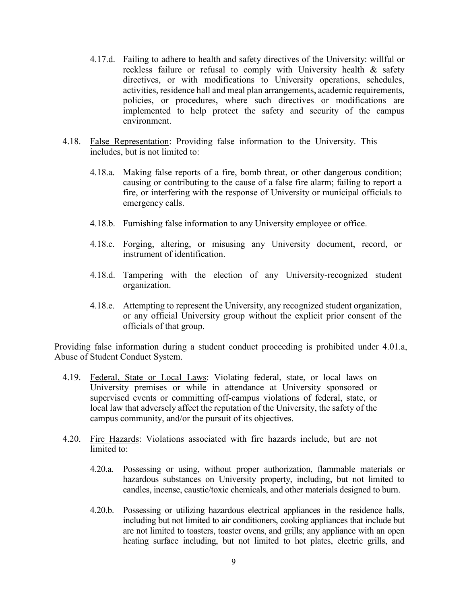- 4.17.d. Failing to adhere to health and safety directives of the University: willful or reckless failure or refusal to comply with University health & safety directives, or with modifications to University operations, schedules, activities, residence hall and meal plan arrangements, academic requirements, policies, or procedures, where such directives or modifications are implemented to help protect the safety and security of the campus environment.
- 4.18. False Representation: Providing false information to the University. This includes, but is not limited to:
	- 4.18.a. Making false reports of a fire, bomb threat, or other dangerous condition; causing or contributing to the cause of a false fire alarm; failing to report a fire, or interfering with the response of University or municipal officials to emergency calls.
	- 4.18.b. Furnishing false information to any University employee or office.
	- 4.18.c. Forging, altering, or misusing any University document, record, or instrument of identification.
	- 4.18.d. Tampering with the election of any University-recognized student organization.
	- 4.18.e. Attempting to represent the University, any recognized student organization, or any official University group without the explicit prior consent of the officials of that group.

Providing false information during a student conduct proceeding is prohibited under 4.01.a, Abuse of Student Conduct System.

- 4.19. Federal, State or Local Laws: Violating federal, state, or local laws on University premises or while in attendance at University sponsored or supervised events or committing off-campus violations of federal, state, or local law that adversely affect the reputation of the University, the safety of the campus community, and/or the pursuit of its objectives.
- 4.20. Fire Hazards: Violations associated with fire hazards include, but are not limited to:
	- 4.20.a. Possessing or using, without proper authorization, flammable materials or hazardous substances on University property, including, but not limited to candles, incense, caustic/toxic chemicals, and other materials designed to burn.
	- 4.20.b. Possessing or utilizing hazardous electrical appliances in the residence halls, including but not limited to air conditioners, cooking appliances that include but are not limited to toasters, toaster ovens, and grills; any appliance with an open heating surface including, but not limited to hot plates, electric grills, and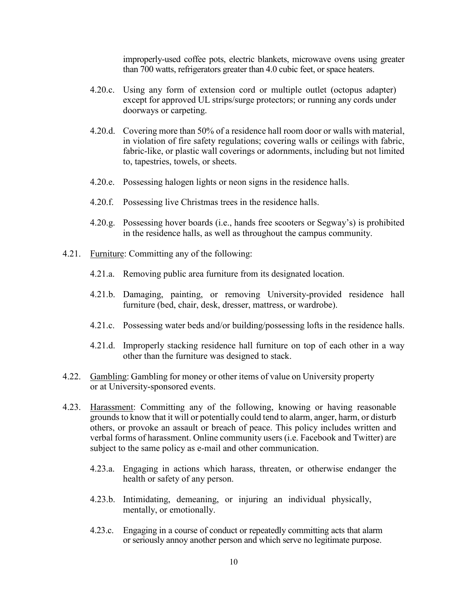improperly-used coffee pots, electric blankets, microwave ovens using greater than 700 watts, refrigerators greater than 4.0 cubic feet, or space heaters.

- 4.20.c. Using any form of extension cord or multiple outlet (octopus adapter) except for approved UL strips/surge protectors; or running any cords under doorways or carpeting.
- 4.20.d. Covering more than 50% of a residence hall room door or walls with material, in violation of fire safety regulations; covering walls or ceilings with fabric, fabric-like, or plastic wall coverings or adornments, including but not limited to, tapestries, towels, or sheets.
- 4.20.e. Possessing halogen lights or neon signs in the residence halls.
- 4.20.f. Possessing live Christmas trees in the residence halls.
- 4.20.g. Possessing hover boards (i.e., hands free scooters or Segway's) is prohibited in the residence halls, as well as throughout the campus community.
- 4.21. Furniture: Committing any of the following:
	- 4.21.a. Removing public area furniture from its designated location.
	- 4.21.b. Damaging, painting, or removing University-provided residence hall furniture (bed, chair, desk, dresser, mattress, or wardrobe).
	- 4.21.c. Possessing water beds and/or building/possessing lofts in the residence halls.
	- 4.21.d. Improperly stacking residence hall furniture on top of each other in a way other than the furniture was designed to stack.
- 4.22. Gambling: Gambling for money or other items of value on University property or at University-sponsored events.
- 4.23. Harassment: Committing any of the following, knowing or having reasonable grounds to know that it will or potentially could tend to alarm, anger, harm, or disturb others, or provoke an assault or breach of peace. This policy includes written and verbal forms of harassment. Online community users (i.e. Facebook and Twitter) are subject to the same policy as e-mail and other communication.
	- 4.23.a. Engaging in actions which harass, threaten, or otherwise endanger the health or safety of any person.
	- 4.23.b. Intimidating, demeaning, or injuring an individual physically, mentally, or emotionally.
	- 4.23.c. Engaging in a course of conduct or repeatedly committing acts that alarm or seriously annoy another person and which serve no legitimate purpose.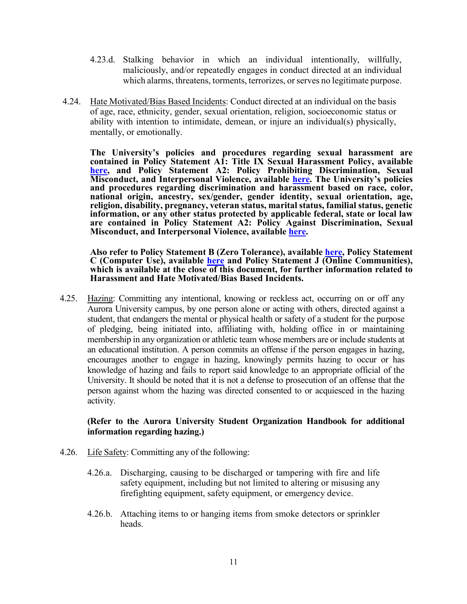- 4.23.d. Stalking behavior in which an individual intentionally, willfully, maliciously, and/or repeatedly engages in conduct directed at an individual which alarms, threatens, torments, terrorizes, or serves no legitimate purpose.
- 4.24. Hate Motivated/Bias Based Incidents: Conduct directed at an individual on the basis of age, race, ethnicity, gender, sexual orientation, religion, socioeconomic status or ability with intention to intimidate, demean, or injure an individual(s) physically, mentally, or emotionally.

**The University's policies and procedures regarding sexual harassment are contained in Policy Statement A1: Title IX Sexual Harassment Policy, available [here,](https://aurora.edu/documents/policies/title-ix-policy.pdf) and Policy Statement A2: Policy Prohibiting Discrimination, Sexual Misconduct, and Interpersonal Violence, available [here.](https://aurora.edu/documents/policies/policy-prohibiting-discrimination.pdf) The University's policies and procedures regarding discrimination and harassment based on race, color, national origin, ancestry, sex/gender, gender identity, sexual orientation, age, religion, disability, pregnancy, veteran status, marital status, familial status, genetic information, or any other status protected by applicable federal, state or local law are contained in Policy Statement A2: Policy Against Discrimination, Sexual Misconduct, and Interpersonal Violence, available [here.](https://aurora.edu/documents/policies/policy-prohibiting-discrimination.pdf)** 

**Also refer to Policy Statement B (Zero Tolerance), available [here,](https://aurora.edu/documents/policies/zero-tolerance-policy.pdf) Policy Statement C (Computer Use), available [here](https://aurora.edu/documents/policies/computer-use-policy.pdf) and Policy Statement J (Online Communities), which is available at the close of this document, for further information related to Harassment and Hate Motivated/Bias Based Incidents.** 

4.25. Hazing: Committing any intentional, knowing or reckless act, occurring on or off any Aurora University campus, by one person alone or acting with others, directed against a student, that endangers the mental or physical health or safety of a student for the purpose of pledging, being initiated into, affiliating with, holding office in or maintaining membership in any organization or athletic team whose members are or include students at an educational institution. A person commits an offense if the person engages in hazing, encourages another to engage in hazing, knowingly permits hazing to occur or has knowledge of hazing and fails to report said knowledge to an appropriate official of the University. It should be noted that it is not a defense to prosecution of an offense that the person against whom the hazing was directed consented to or acquiesced in the hazing activity.

### **(Refer to the Aurora University Student Organization Handbook for additional information regarding hazing.)**

- 4.26. Life Safety: Committing any of the following:
	- 4.26.a. Discharging, causing to be discharged or tampering with fire and life safety equipment, including but not limited to altering or misusing any firefighting equipment, safety equipment, or emergency device.
	- 4.26.b. Attaching items to or hanging items from smoke detectors or sprinkler heads.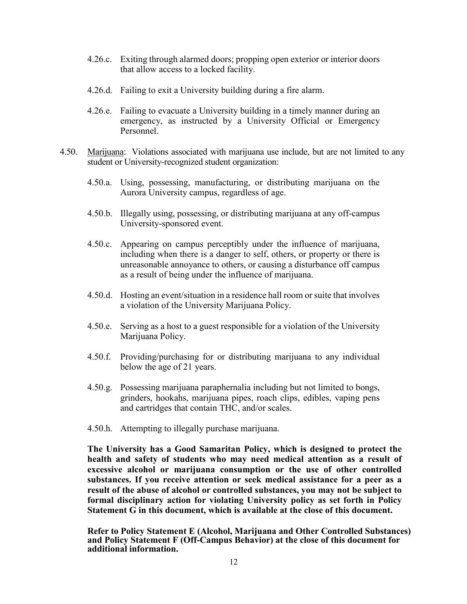- 4.26.c. Exiting through alarmed doors; propping open exterior or interior doors that allow access to a locked facility.
- 4.26.d. Failing to exit a University building during a fire alarm.
- 4.26.e. Failing to evacuate a University building in a timely manner during an emergency, as instructed by a University Official or Emergency Personnel.
- 4.50. Marijuana: Violations associated with marijuana use include, but are not limited to any student or University-recognized student organization:
	- 4.50.a. Using, possessing, manufacturing, or distributing marijuana on the Aurora University campus, regardless of age.
	- 4.50.b. Illegally using, possessing, or distributing marijuana at any off-campus University-sponsored event.
	- 4.50.c. Appearing on campus perceptibly under the influence of marijuana, including when there is a danger to self, others, or property or there is unreasonable annoyance to others, or causing a disturbance off campus as a result of being under the influence of marijuana.
	- 4.50.d. Hosting an event/situation in a residence hall room or suite that involves a violation of the University Marijuana Policy.
	- 4.50.e. Serving as a host to a guest responsible for a violation of the University Marijuana Policy.
	- 4.50.f. Providing/purchasing for or distributing marijuana to any individual below the age of 21 years.
	- 4.50.g. Possessing marijuana paraphernalia including but not limited to bongs, grinders, hookahs, marijuana pipes, roach clips, edibles, vaping pens and cartridges that contain THC, and/or scales.
	- 4.50.h. Attempting to illegally purchase marijuana.

**The University has a Good Samaritan Policy, which is designed to protect the health and safety of students who may need medical attention as a result of excessive alcohol or marijuana consumption or the use of other controlled substances. If you receive attention or seek medical assistance for a peer as a result of the abuse of alcohol or controlled substances, you may not be subject to formal disciplinary action for violating University policy as set forth in Policy Statement G in this document, which is available at the close of this document.** 

**Refer to Policy Statement E (Alcohol, Marijuana and Other Controlled Substances) and Policy Statement F (Off-Campus Behavior) at the close of this document for additional information.**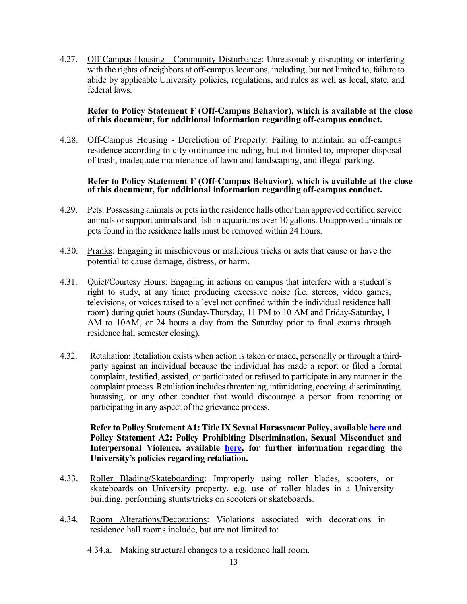4.27. Off-Campus Housing - Community Disturbance: Unreasonably disrupting or interfering with the rights of neighbors at off-campus locations, including, but not limited to, failure to abide by applicable University policies, regulations, and rules as well as local, state, and federal laws.

#### **Refer to Policy Statement F (Off-Campus Behavior), which is available at the close of this document, for additional information regarding off-campus conduct.**

4.28. Off-Campus Housing - Dereliction of Property: Failing to maintain an off-campus residence according to city ordinance including, but not limited to, improper disposal of trash, inadequate maintenance of lawn and landscaping, and illegal parking.

#### **Refer to Policy Statement F (Off-Campus Behavior), which is available at the close of this document, for additional information regarding off-campus conduct.**

- 4.29. Pets: Possessing animals or pets in the residence halls other than approved certified service animals or support animals and fish in aquariums over 10 gallons. Unapproved animals or pets found in the residence halls must be removed within 24 hours.
- 4.30. Pranks: Engaging in mischievous or malicious tricks or acts that cause or have the potential to cause damage, distress, or harm.
- 4.31. Quiet/Courtesy Hours: Engaging in actions on campus that interfere with a student's right to study, at any time; producing excessive noise (i.e. stereos, video games, televisions, or voices raised to a level not confined within the individual residence hall room) during quiet hours (Sunday-Thursday, 11 PM to 10 AM and Friday-Saturday, 1 AM to 10AM, or 24 hours a day from the Saturday prior to final exams through residence hall semester closing).
- 4.32. Retaliation: Retaliation exists when action is taken or made, personally or through a thirdparty against an individual because the individual has made a report or filed a formal complaint, testified, assisted, or participated or refused to participate in any manner in the complaint process. Retaliation includes threatening, intimidating, coercing, discriminating, harassing, or any other conduct that would discourage a person from reporting or participating in any aspect of the grievance process.

### **Refer to Policy Statement A1: Title IX Sexual Harassment Policy, available [here](https://aurora.edu/documents/policies/title-ix-policy.pdf) and Policy Statement A2: Policy Prohibiting Discrimination, Sexual Misconduct and Interpersonal Violence, available [here,](https://aurora.edu/documents/policies/policy-prohibiting-discrimination.pdf) for further information regarding the University's policies regarding retaliation.**

- 4.33. Roller Blading/Skateboarding: Improperly using roller blades, scooters, or skateboards on University property, e.g. use of roller blades in a University building, performing stunts/tricks on scooters or skateboards.
- 4.34. Room Alterations/Decorations: Violations associated with decorations in residence hall rooms include, but are not limited to:
	- 4.34.a. Making structural changes to a residence hall room.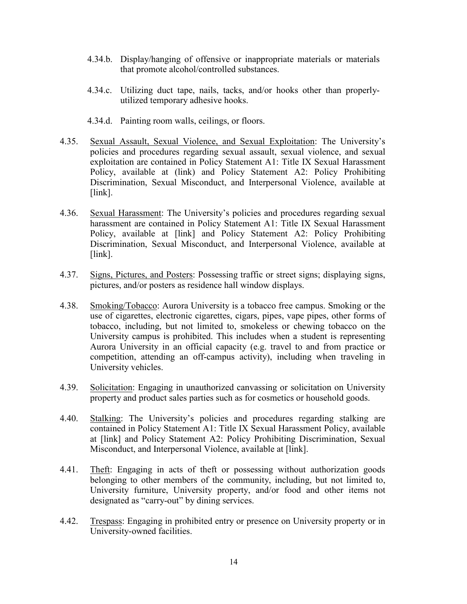- 4.34.b. Display/hanging of offensive or inappropriate materials or materials that promote alcohol/controlled substances.
- 4.34.c. Utilizing duct tape, nails, tacks, and/or hooks other than properlyutilized temporary adhesive hooks.
- 4.34.d. Painting room walls, ceilings, or floors.
- 4.35. Sexual Assault, Sexual Violence, and Sexual Exploitation: The University's policies and procedures regarding sexual assault, sexual violence, and sexual exploitation are contained in Policy Statement A1: Title IX Sexual Harassment Policy, available at (link) and Policy Statement A2: Policy Prohibiting Discrimination, Sexual Misconduct, and Interpersonal Violence, available at [link].
- 4.36. Sexual Harassment: The University's policies and procedures regarding sexual harassment are contained in Policy Statement A1: Title IX Sexual Harassment Policy, available at [link] and Policy Statement A2: Policy Prohibiting Discrimination, Sexual Misconduct, and Interpersonal Violence, available at [link].
- 4.37. Signs, Pictures, and Posters: Possessing traffic or street signs; displaying signs, pictures, and/or posters as residence hall window displays.
- 4.38. Smoking/Tobacco: Aurora University is a tobacco free campus. Smoking or the use of cigarettes, electronic cigarettes, cigars, pipes, vape pipes, other forms of tobacco, including, but not limited to, smokeless or chewing tobacco on the University campus is prohibited. This includes when a student is representing Aurora University in an official capacity (e.g. travel to and from practice or competition, attending an off-campus activity), including when traveling in University vehicles.
- 4.39. Solicitation: Engaging in unauthorized canvassing or solicitation on University property and product sales parties such as for cosmetics or household goods.
- 4.40. Stalking: The University's policies and procedures regarding stalking are contained in Policy Statement A1: Title IX Sexual Harassment Policy, available at [link] and Policy Statement A2: Policy Prohibiting Discrimination, Sexual Misconduct, and Interpersonal Violence, available at [link].
- 4.41. Theft: Engaging in acts of theft or possessing without authorization goods belonging to other members of the community, including, but not limited to, University furniture, University property, and/or food and other items not designated as "carry-out" by dining services.
- 4.42. Trespass: Engaging in prohibited entry or presence on University property or in University-owned facilities.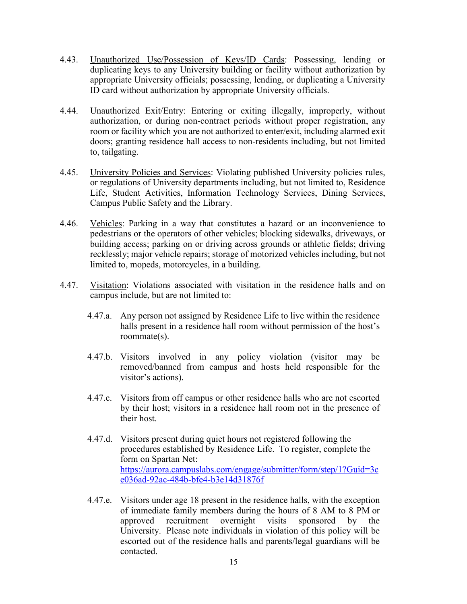- 4.43. Unauthorized Use/Possession of Keys/ID Cards: Possessing, lending or duplicating keys to any University building or facility without authorization by appropriate University officials; possessing, lending, or duplicating a University ID card without authorization by appropriate University officials.
- 4.44. Unauthorized Exit/Entry: Entering or exiting illegally, improperly, without authorization, or during non-contract periods without proper registration, any room or facility which you are not authorized to enter/exit, including alarmed exit doors; granting residence hall access to non-residents including, but not limited to, tailgating.
- 4.45. University Policies and Services: Violating published University policies rules, or regulations of University departments including, but not limited to, Residence Life, Student Activities, Information Technology Services, Dining Services, Campus Public Safety and the Library.
- 4.46. Vehicles: Parking in a way that constitutes a hazard or an inconvenience to pedestrians or the operators of other vehicles; blocking sidewalks, driveways, or building access; parking on or driving across grounds or athletic fields; driving recklessly; major vehicle repairs; storage of motorized vehicles including, but not limited to, mopeds, motorcycles, in a building.
- 4.47. Visitation: Violations associated with visitation in the residence halls and on campus include, but are not limited to:
	- 4.47.a. Any person not assigned by Residence Life to live within the residence halls present in a residence hall room without permission of the host's roommate(s).
	- 4.47.b. Visitors involved in any policy violation (visitor may be removed/banned from campus and hosts held responsible for the visitor's actions).
	- 4.47.c. Visitors from off campus or other residence halls who are not escorted by their host; visitors in a residence hall room not in the presence of their host.
	- 4.47.d. Visitors present during quiet hours not registered following the procedures established by Residence Life. To register, complete the form on Spartan Net: [https://aurora.campuslabs.com/engage/submitter/form/step/1?Guid=3c](https://aurora.campuslabs.com/engage/submitter/form/step/1?Guid=3ce036ad-92ac-484b-bfe4-b3e14d31876f) [e036ad-92ac-484b-bfe4-b3e14d31876f](https://aurora.campuslabs.com/engage/submitter/form/step/1?Guid=3ce036ad-92ac-484b-bfe4-b3e14d31876f)
	- 4.47.e. Visitors under age 18 present in the residence halls, with the exception of immediate family members during the hours of 8 AM to 8 PM or approved recruitment overnight visits sponsored by the University. Please note individuals in violation of this policy will be escorted out of the residence halls and parents/legal guardians will be contacted.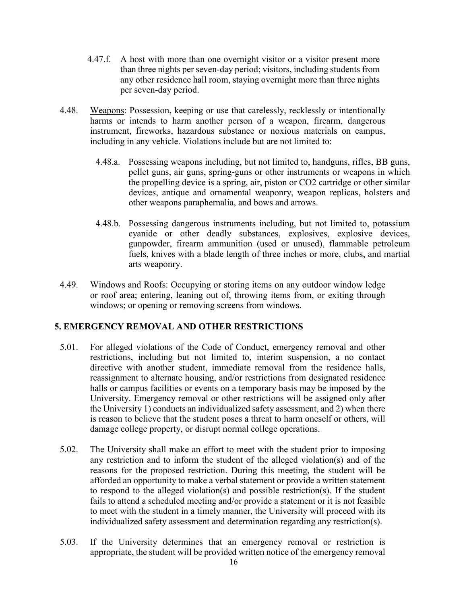- 4.47.f. A host with more than one overnight visitor or a visitor present more than three nights per seven-day period; visitors, including students from any other residence hall room, staying overnight more than three nights per seven-day period.
- 4.48. Weapons: Possession, keeping or use that carelessly, recklessly or intentionally harms or intends to harm another person of a weapon, firearm, dangerous instrument, fireworks, hazardous substance or noxious materials on campus, including in any vehicle. Violations include but are not limited to:
	- 4.48.a. Possessing weapons including, but not limited to, handguns, rifles, BB guns, pellet guns, air guns, spring-guns or other instruments or weapons in which the propelling device is a spring, air, piston or CO2 cartridge or other similar devices, antique and ornamental weaponry, weapon replicas, holsters and other weapons paraphernalia, and bows and arrows.
	- 4.48.b. Possessing dangerous instruments including, but not limited to, potassium cyanide or other deadly substances, explosives, explosive devices, gunpowder, firearm ammunition (used or unused), flammable petroleum fuels, knives with a blade length of three inches or more, clubs, and martial arts weaponry.
- 4.49. Windows and Roofs: Occupying or storing items on any outdoor window ledge or roof area; entering, leaning out of, throwing items from, or exiting through windows; or opening or removing screens from windows.

### **5. EMERGENCY REMOVAL AND OTHER RESTRICTIONS**

- 5.01. For alleged violations of the Code of Conduct, emergency removal and other restrictions, including but not limited to, interim suspension, a no contact directive with another student, immediate removal from the residence halls, reassignment to alternate housing, and/or restrictions from designated residence halls or campus facilities or events on a temporary basis may be imposed by the University. Emergency removal or other restrictions will be assigned only after the University 1) conducts an individualized safety assessment, and 2) when there is reason to believe that the student poses a threat to harm oneself or others, will damage college property, or disrupt normal college operations.
- 5.02. The University shall make an effort to meet with the student prior to imposing any restriction and to inform the student of the alleged violation(s) and of the reasons for the proposed restriction. During this meeting, the student will be afforded an opportunity to make a verbal statement or provide a written statement to respond to the alleged violation(s) and possible restriction(s). If the student fails to attend a scheduled meeting and/or provide a statement or it is not feasible to meet with the student in a timely manner, the University will proceed with its individualized safety assessment and determination regarding any restriction(s).
- 5.03. If the University determines that an emergency removal or restriction is appropriate, the student will be provided written notice of the emergency removal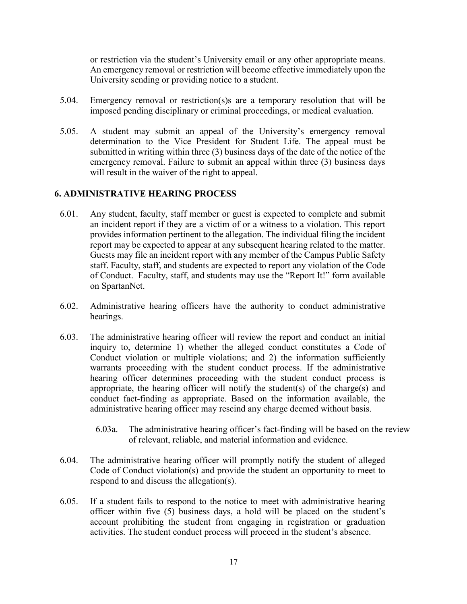or restriction via the student's University email or any other appropriate means. An emergency removal or restriction will become effective immediately upon the University sending or providing notice to a student.

- 5.04. Emergency removal or restriction(s)s are a temporary resolution that will be imposed pending disciplinary or criminal proceedings, or medical evaluation.
- 5.05. A student may submit an appeal of the University's emergency removal determination to the Vice President for Student Life. The appeal must be submitted in writing within three (3) business days of the date of the notice of the emergency removal. Failure to submit an appeal within three (3) business days will result in the waiver of the right to appeal.

## **6. ADMINISTRATIVE HEARING PROCESS**

- 6.01. Any student, faculty, staff member or guest is expected to complete and submit an incident report if they are a victim of or a witness to a violation. This report provides information pertinent to the allegation. The individual filing the incident report may be expected to appear at any subsequent hearing related to the matter. Guests may file an incident report with any member of the Campus Public Safety staff. Faculty, staff, and students are expected to report any violation of the Code of Conduct. Faculty, staff, and students may use the "Report It!" form available on SpartanNet.
- 6.02. Administrative hearing officers have the authority to conduct administrative hearings.
- 6.03. The administrative hearing officer will review the report and conduct an initial inquiry to, determine 1) whether the alleged conduct constitutes a Code of Conduct violation or multiple violations; and 2) the information sufficiently warrants proceeding with the student conduct process. If the administrative hearing officer determines proceeding with the student conduct process is appropriate, the hearing officer will notify the student(s) of the charge(s) and conduct fact-finding as appropriate. Based on the information available, the administrative hearing officer may rescind any charge deemed without basis.
	- 6.03a. The administrative hearing officer's fact-finding will be based on the review of relevant, reliable, and material information and evidence.
- 6.04. The administrative hearing officer will promptly notify the student of alleged Code of Conduct violation(s) and provide the student an opportunity to meet to respond to and discuss the allegation(s).
- 6.05. If a student fails to respond to the notice to meet with administrative hearing officer within five (5) business days, a hold will be placed on the student's account prohibiting the student from engaging in registration or graduation activities. The student conduct process will proceed in the student's absence.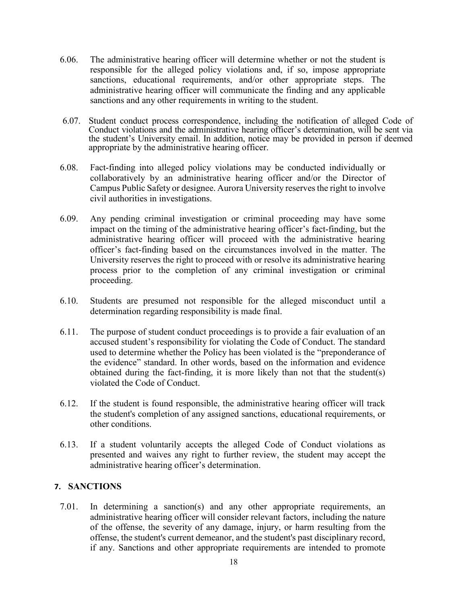- 6.06. The administrative hearing officer will determine whether or not the student is responsible for the alleged policy violations and, if so, impose appropriate sanctions, educational requirements, and/or other appropriate steps. The administrative hearing officer will communicate the finding and any applicable sanctions and any other requirements in writing to the student.
- 6.07. Student conduct process correspondence, including the notification of alleged Code of Conduct violations and the administrative hearing officer's determination, will be sent via the student's University email. In addition, notice may be provided in person if deemed appropriate by the administrative hearing officer.
- 6.08. Fact-finding into alleged policy violations may be conducted individually or collaboratively by an administrative hearing officer and/or the Director of Campus Public Safety or designee. Aurora University reserves the right to involve civil authorities in investigations.
- 6.09. Any pending criminal investigation or criminal proceeding may have some impact on the timing of the administrative hearing officer's fact-finding, but the administrative hearing officer will proceed with the administrative hearing officer's fact-finding based on the circumstances involved in the matter. The University reserves the right to proceed with or resolve its administrative hearing process prior to the completion of any criminal investigation or criminal proceeding.
- 6.10. Students are presumed not responsible for the alleged misconduct until a determination regarding responsibility is made final.
- 6.11. The purpose of student conduct proceedings is to provide a fair evaluation of an accused student's responsibility for violating the Code of Conduct. The standard used to determine whether the Policy has been violated is the "preponderance of the evidence" standard. In other words, based on the information and evidence obtained during the fact-finding, it is more likely than not that the student(s) violated the Code of Conduct.
- 6.12. If the student is found responsible, the administrative hearing officer will track the student's completion of any assigned sanctions, educational requirements, or other conditions.
- 6.13. If a student voluntarily accepts the alleged Code of Conduct violations as presented and waives any right to further review, the student may accept the administrative hearing officer's determination.

### **7. SANCTIONS**

7.01. In determining a sanction(s) and any other appropriate requirements, an administrative hearing officer will consider relevant factors, including the nature of the offense, the severity of any damage, injury, or harm resulting from the offense, the student's current demeanor, and the student's past disciplinary record, if any. Sanctions and other appropriate requirements are intended to promote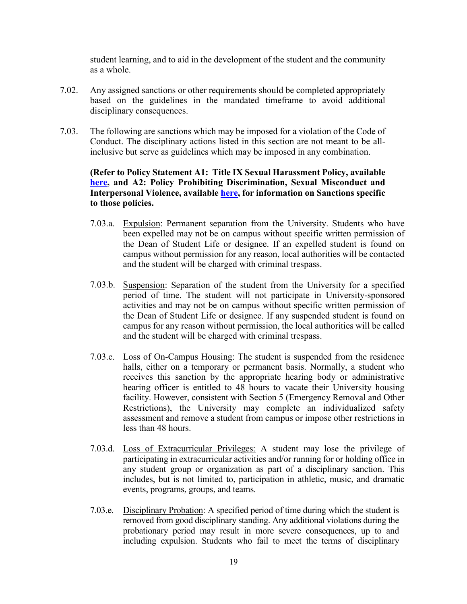student learning, and to aid in the development of the student and the community as a whole.

- 7.02. Any assigned sanctions or other requirements should be completed appropriately based on the guidelines in the mandated timeframe to avoid additional disciplinary consequences.
- 7.03. The following are sanctions which may be imposed for a violation of the Code of Conduct. The disciplinary actions listed in this section are not meant to be allinclusive but serve as guidelines which may be imposed in any combination.

### **(Refer to Policy Statement A1: Title IX Sexual Harassment Policy, available [here,](https://aurora.edu/documents/policies/title-ix-policy.pdf) and A2: Policy Prohibiting Discrimination, Sexual Misconduct and Interpersonal Violence, available [here,](https://aurora.edu/documents/policies/policy-prohibiting-discrimination.pdf) for information on Sanctions specific to those policies.**

- 7.03.a. Expulsion: Permanent separation from the University. Students who have been expelled may not be on campus without specific written permission of the Dean of Student Life or designee. If an expelled student is found on campus without permission for any reason, local authorities will be contacted and the student will be charged with criminal trespass.
- 7.03.b. Suspension: Separation of the student from the University for a specified period of time. The student will not participate in University-sponsored activities and may not be on campus without specific written permission of the Dean of Student Life or designee. If any suspended student is found on campus for any reason without permission, the local authorities will be called and the student will be charged with criminal trespass.
- 7.03.c. Loss of On-Campus Housing: The student is suspended from the residence halls, either on a temporary or permanent basis. Normally, a student who receives this sanction by the appropriate hearing body or administrative hearing officer is entitled to 48 hours to vacate their University housing facility. However, consistent with Section 5 (Emergency Removal and Other Restrictions), the University may complete an individualized safety assessment and remove a student from campus or impose other restrictions in less than 48 hours.
- 7.03.d. Loss of Extracurricular Privileges: A student may lose the privilege of participating in extracurricular activities and/or running for or holding office in any student group or organization as part of a disciplinary sanction. This includes, but is not limited to, participation in athletic, music, and dramatic events, programs, groups, and teams.
- 7.03.e. Disciplinary Probation: A specified period of time during which the student is removed from good disciplinary standing. Any additional violations during the probationary period may result in more severe consequences, up to and including expulsion. Students who fail to meet the terms of disciplinary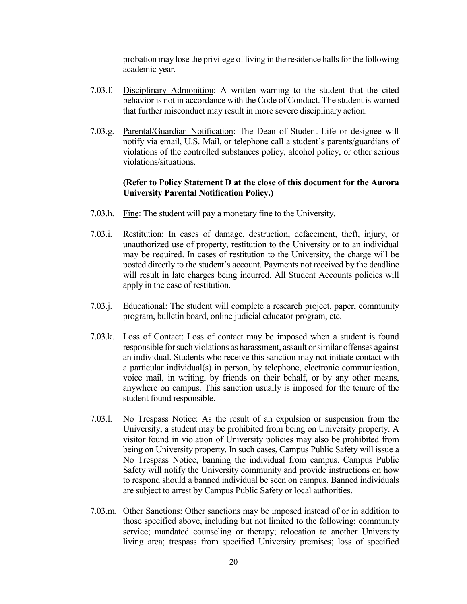probation may lose the privilege of living in the residence halls for the following academic year.

- 7.03.f. Disciplinary Admonition: A written warning to the student that the cited behavior is not in accordance with the Code of Conduct. The student is warned that further misconduct may result in more severe disciplinary action.
- 7.03.g. Parental/Guardian Notification: The Dean of Student Life or designee will notify via email, U.S. Mail, or telephone call a student's parents/guardians of violations of the controlled substances policy, alcohol policy, or other serious violations/situations.

#### **(Refer to Policy Statement D at the close of this document for the Aurora University Parental Notification Policy.)**

- 7.03.h. Fine: The student will pay a monetary fine to the University.
- 7.03.i. Restitution: In cases of damage, destruction, defacement, theft, injury, or unauthorized use of property, restitution to the University or to an individual may be required. In cases of restitution to the University, the charge will be posted directly to the student's account. Payments not received by the deadline will result in late charges being incurred. All Student Accounts policies will apply in the case of restitution.
- 7.03.j. Educational: The student will complete a research project, paper, community program, bulletin board, online judicial educator program, etc.
- 7.03.k. Loss of Contact: Loss of contact may be imposed when a student is found responsible for such violations as harassment, assault or similar offenses against an individual. Students who receive this sanction may not initiate contact with a particular individual(s) in person, by telephone, electronic communication, voice mail, in writing, by friends on their behalf, or by any other means, anywhere on campus. This sanction usually is imposed for the tenure of the student found responsible.
- 7.03.l. No Trespass Notice: As the result of an expulsion or suspension from the University, a student may be prohibited from being on University property. A visitor found in violation of University policies may also be prohibited from being on University property. In such cases, Campus Public Safety will issue a No Trespass Notice, banning the individual from campus. Campus Public Safety will notify the University community and provide instructions on how to respond should a banned individual be seen on campus. Banned individuals are subject to arrest by Campus Public Safety or local authorities.
- 7.03.m. Other Sanctions: Other sanctions may be imposed instead of or in addition to those specified above, including but not limited to the following: community service; mandated counseling or therapy; relocation to another University living area; trespass from specified University premises; loss of specified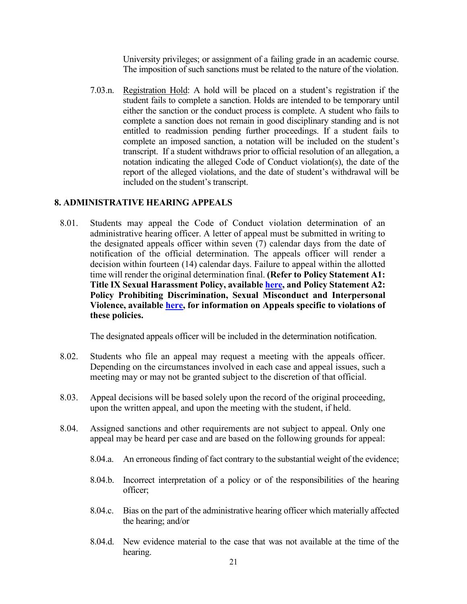University privileges; or assignment of a failing grade in an academic course. The imposition of such sanctions must be related to the nature of the violation.

7.03.n. Registration Hold: A hold will be placed on a student's registration if the student fails to complete a sanction. Holds are intended to be temporary until either the sanction or the conduct process is complete. A student who fails to complete a sanction does not remain in good disciplinary standing and is not entitled to readmission pending further proceedings. If a student fails to complete an imposed sanction, a notation will be included on the student's transcript. If a student withdraws prior to official resolution of an allegation, a notation indicating the alleged Code of Conduct violation(s), the date of the report of the alleged violations, and the date of student's withdrawal will be included on the student's transcript.

### **8. ADMINISTRATIVE HEARING APPEALS**

8.01. Students may appeal the Code of Conduct violation determination of an administrative hearing officer. A letter of appeal must be submitted in writing to the designated appeals officer within seven (7) calendar days from the date of notification of the official determination. The appeals officer will render a decision within fourteen (14) calendar days. Failure to appeal within the allotted time will render the original determination final. **(Refer to Policy Statement A1: Title IX Sexual Harassment Policy, availabl[e here,](https://aurora.edu/documents/policies/title-ix-policy.pdf) and Policy Statement A2: Policy Prohibiting Discrimination, Sexual Misconduct and Interpersonal Violence, available [here,](https://aurora.edu/documents/policies/policy-prohibiting-discrimination.pdf) for information on Appeals specific to violations of these policies.** 

The designated appeals officer will be included in the determination notification.

- 8.02. Students who file an appeal may request a meeting with the appeals officer. Depending on the circumstances involved in each case and appeal issues, such a meeting may or may not be granted subject to the discretion of that official.
- 8.03. Appeal decisions will be based solely upon the record of the original proceeding, upon the written appeal, and upon the meeting with the student, if held.
- 8.04. Assigned sanctions and other requirements are not subject to appeal. Only one appeal may be heard per case and are based on the following grounds for appeal:
	- 8.04.a. An erroneous finding of fact contrary to the substantial weight of the evidence;
	- 8.04.b. Incorrect interpretation of a policy or of the responsibilities of the hearing officer;
	- 8.04.c. Bias on the part of the administrative hearing officer which materially affected the hearing; and/or
	- 8.04.d. New evidence material to the case that was not available at the time of the hearing.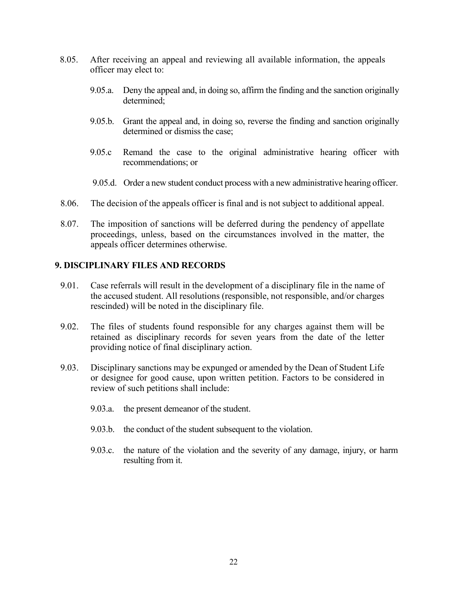- 8.05. After receiving an appeal and reviewing all available information, the appeals officer may elect to:
	- 9.05.a. Deny the appeal and, in doing so, affirm the finding and the sanction originally determined;
	- 9.05.b. Grant the appeal and, in doing so, reverse the finding and sanction originally determined or dismiss the case;
	- 9.05.c Remand the case to the original administrative hearing officer with recommendations; or
	- 9.05.d. Order a new student conduct process with a new administrative hearing officer.
- 8.06. The decision of the appeals officer is final and is not subject to additional appeal.
- 8.07. The imposition of sanctions will be deferred during the pendency of appellate proceedings, unless, based on the circumstances involved in the matter, the appeals officer determines otherwise.

### **9. DISCIPLINARY FILES AND RECORDS**

- 9.01. Case referrals will result in the development of a disciplinary file in the name of the accused student. All resolutions (responsible, not responsible, and/or charges rescinded) will be noted in the disciplinary file.
- 9.02. The files of students found responsible for any charges against them will be retained as disciplinary records for seven years from the date of the letter providing notice of final disciplinary action.
- 9.03. Disciplinary sanctions may be expunged or amended by the Dean of Student Life or designee for good cause, upon written petition. Factors to be considered in review of such petitions shall include:
	- 9.03.a. the present demeanor of the student.
	- 9.03.b. the conduct of the student subsequent to the violation.
	- 9.03.c. the nature of the violation and the severity of any damage, injury, or harm resulting from it.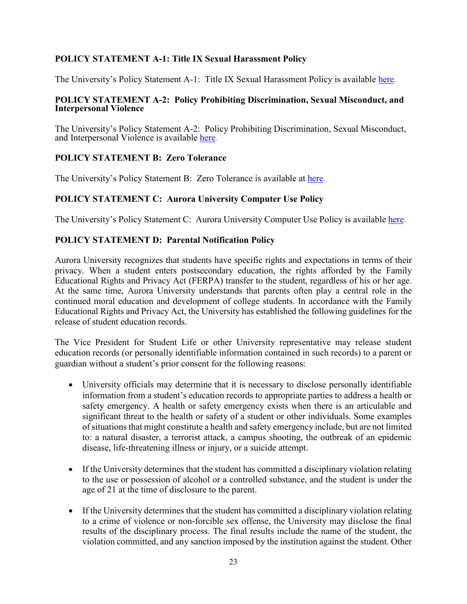# **POLICY STATEMENT A-1: Title IX Sexual Harassment Policy**

The University's Policy Statement A-1: Title IX Sexual Harassment Policy is available [here.](https://aurora.edu/documents/policies/title-ix-policy.pdf)

### **POLICY STATEMENT A-2: Policy Prohibiting Discrimination, Sexual Misconduct, and Interpersonal Violence**

The University's Policy Statement A-2: Policy Prohibiting Discrimination, Sexual Misconduct, and Interpersonal Violence is available [here.](https://aurora.edu/documents/policies/policy-prohibiting-discrimination.pdf)

# **POLICY STATEMENT B: Zero Tolerance**

The University's Policy Statement B: Zero Tolerance is available at [here.](https://aurora.edu/documents/policies/zero-tolerance-policy.pdf)

## **POLICY STATEMENT C: Aurora University Computer Use Policy**

The University's Policy Statement C: Aurora University Computer Use Policy is available [here.](https://aurora.edu/documents/policies/computer-use-policy.pdf)

### **POLICY STATEMENT D: Parental Notification Policy**

Aurora University recognizes that students have specific rights and expectations in terms of their privacy. When a student enters postsecondary education, the rights afforded by the Family Educational Rights and Privacy Act (FERPA) transfer to the student, regardless of his or her age. At the same time, Aurora University understands that parents often play a central role in the continued moral education and development of college students. In accordance with the Family Educational Rights and Privacy Act, the University has established the following guidelines for the release of student education records.

The Vice President for Student Life or other University representative may release student education records (or personally identifiable information contained in such records) to a parent or guardian without a student's prior consent for the following reasons:

- University officials may determine that it is necessary to disclose personally identifiable information from a student's education records to appropriate parties to address a health or safety emergency. A health or safety emergency exists when there is an articulable and significant threat to the health or safety of a student or other individuals. Some examples of situations that might constitute a health and safety emergency include, but are not limited to: a natural disaster, a terrorist attack, a campus shooting, the outbreak of an epidemic disease, life-threatening illness or injury, or a suicide attempt.
- If the University determines that the student has committed a disciplinary violation relating to the use or possession of alcohol or a controlled substance, and the student is under the age of 21 at the time of disclosure to the parent.
- If the University determines that the student has committed a disciplinary violation relating to a crime of violence or non-forcible sex offense, the University may disclose the final results of the disciplinary process. The final results include the name of the student, the violation committed, and any sanction imposed by the institution against the student. Other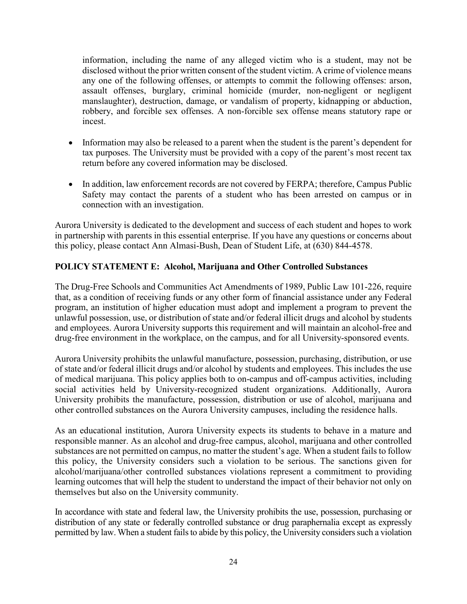information, including the name of any alleged victim who is a student, may not be disclosed without the prior written consent of the student victim. A crime of violence means any one of the following offenses, or attempts to commit the following offenses: arson, assault offenses, burglary, criminal homicide (murder, non-negligent or negligent manslaughter), destruction, damage, or vandalism of property, kidnapping or abduction, robbery, and forcible sex offenses. A non-forcible sex offense means statutory rape or incest.

- Information may also be released to a parent when the student is the parent's dependent for tax purposes. The University must be provided with a copy of the parent's most recent tax return before any covered information may be disclosed.
- In addition, law enforcement records are not covered by FERPA; therefore, Campus Public Safety may contact the parents of a student who has been arrested on campus or in connection with an investigation.

Aurora University is dedicated to the development and success of each student and hopes to work in partnership with parents in this essential enterprise. If you have any questions or concerns about this policy, please contact Ann Almasi-Bush, Dean of Student Life, at (630) 844-4578.

# **POLICY STATEMENT E: Alcohol, Marijuana and Other Controlled Substances**

The Drug-Free Schools and Communities Act Amendments of 1989, Public Law 101-226, require that, as a condition of receiving funds or any other form of financial assistance under any Federal program, an institution of higher education must adopt and implement a program to prevent the unlawful possession, use, or distribution of state and/or federal illicit drugs and alcohol by students and employees. Aurora University supports this requirement and will maintain an alcohol-free and drug-free environment in the workplace, on the campus, and for all University-sponsored events.

Aurora University prohibits the unlawful manufacture, possession, purchasing, distribution, or use of state and/or federal illicit drugs and/or alcohol by students and employees. This includes the use of medical marijuana. This policy applies both to on-campus and off-campus activities, including social activities held by University-recognized student organizations. Additionally, Aurora University prohibits the manufacture, possession, distribution or use of alcohol, marijuana and other controlled substances on the Aurora University campuses, including the residence halls.

As an educational institution, Aurora University expects its students to behave in a mature and responsible manner. As an alcohol and drug-free campus, alcohol, marijuana and other controlled substances are not permitted on campus, no matter the student's age. When a student fails to follow this policy, the University considers such a violation to be serious. The sanctions given for alcohol/marijuana/other controlled substances violations represent a commitment to providing learning outcomes that will help the student to understand the impact of their behavior not only on themselves but also on the University community.

In accordance with state and federal law, the University prohibits the use, possession, purchasing or distribution of any state or federally controlled substance or drug paraphernalia except as expressly permitted by law. When a student fails to abide by this policy, the University considers such a violation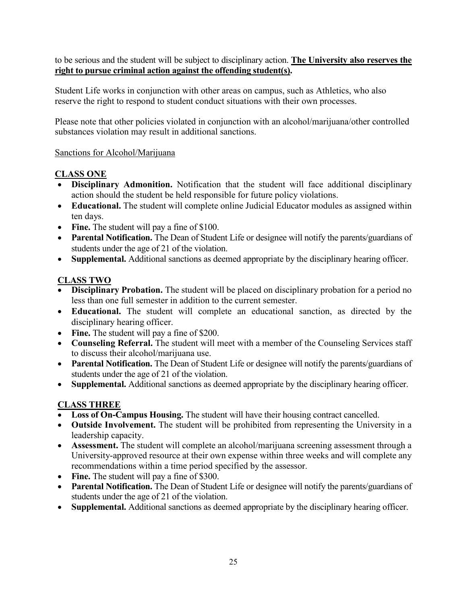to be serious and the student will be subject to disciplinary action. **The University also reserves the right to pursue criminal action against the offending student(s).** 

Student Life works in conjunction with other areas on campus, such as Athletics, who also reserve the right to respond to student conduct situations with their own processes.

Please note that other policies violated in conjunction with an alcohol/marijuana/other controlled substances violation may result in additional sanctions.

# Sanctions for Alcohol/Marijuana

# **CLASS ONE**

- **Disciplinary Admonition.** Notification that the student will face additional disciplinary action should the student be held responsible for future policy violations.
- **Educational.** The student will complete online Judicial Educator modules as assigned within ten days.
- Fine. The student will pay a fine of \$100.
- **Parental Notification.** The Dean of Student Life or designee will notify the parents/guardians of students under the age of 21 of the violation.
- **Supplemental.** Additional sanctions as deemed appropriate by the disciplinary hearing officer.

# **CLASS TWO**

- **Disciplinary Probation.** The student will be placed on disciplinary probation for a period no less than one full semester in addition to the current semester.
- **Educational.** The student will complete an educational sanction, as directed by the disciplinary hearing officer.
- **Fine.** The student will pay a fine of \$200.
- **Counseling Referral.** The student will meet with a member of the Counseling Services staff to discuss their alcohol/marijuana use.
- **Parental Notification.** The Dean of Student Life or designee will notify the parents/guardians of students under the age of 21 of the violation.
- **Supplemental.** Additional sanctions as deemed appropriate by the disciplinary hearing officer.

# **CLASS THREE**

- Loss of On-Campus Housing. The student will have their housing contract cancelled.
- **Outside Involvement.** The student will be prohibited from representing the University in a leadership capacity.
- **Assessment.** The student will complete an alcohol/marijuana screening assessment through a University-approved resource at their own expense within three weeks and will complete any recommendations within a time period specified by the assessor.
- Fine. The student will pay a fine of \$300.
- Parental Notification. The Dean of Student Life or designee will notify the parents/guardians of students under the age of 21 of the violation.
- **Supplemental.** Additional sanctions as deemed appropriate by the disciplinary hearing officer.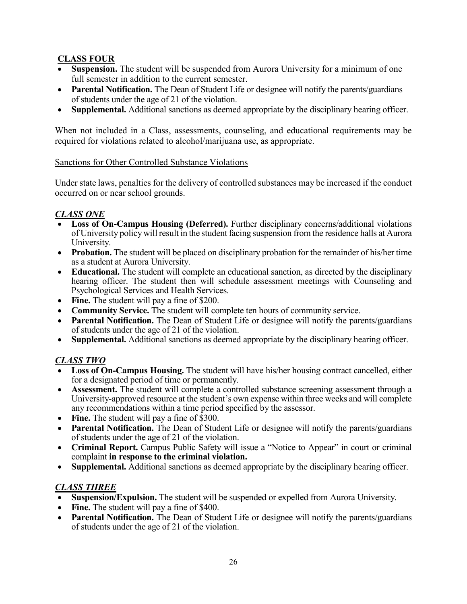# **CLASS FOUR**

- **Suspension.** The student will be suspended from Aurora University for a minimum of one full semester in addition to the current semester.
- **Parental Notification.** The Dean of Student Life or designee will notify the parents/guardians of students under the age of 21 of the violation.
- **Supplemental.** Additional sanctions as deemed appropriate by the disciplinary hearing officer.

When not included in a Class, assessments, counseling, and educational requirements may be required for violations related to alcohol/marijuana use, as appropriate.

# Sanctions for Other Controlled Substance Violations

Under state laws, penalties for the delivery of controlled substances may be increased if the conduct occurred on or near school grounds.

# *CLASS ONE*

- **Loss of On-Campus Housing (Deferred).** Further disciplinary concerns/additional violations of University policy will result in the student facing suspension from the residence halls at Aurora University.
- **Probation.** The student will be placed on disciplinary probation for the remainder of his/her time as a student at Aurora University.
- **Educational.** The student will complete an educational sanction, as directed by the disciplinary hearing officer. The student then will schedule assessment meetings with Counseling and Psychological Services and Health Services.
- **Fine.** The student will pay a fine of \$200.
- **Community Service.** The student will complete ten hours of community service.
- **Parental Notification.** The Dean of Student Life or designee will notify the parents/guardians of students under the age of 21 of the violation.
- **Supplemental.** Additional sanctions as deemed appropriate by the disciplinary hearing officer.

# *CLASS TWO*

- **Loss of On-Campus Housing.** The student will have his/her housing contract cancelled, either for a designated period of time or permanently.
- **Assessment.** The student will complete a controlled substance screening assessment through a University-approved resource at the student's own expense within three weeks and will complete any recommendations within a time period specified by the assessor.
- Fine. The student will pay a fine of \$300.
- **Parental Notification.** The Dean of Student Life or designee will notify the parents/guardians of students under the age of 21 of the violation.
- **Criminal Report.** Campus Public Safety will issue a "Notice to Appear" in court or criminal complaint **in response to the criminal violation.**
- **Supplemental.** Additional sanctions as deemed appropriate by the disciplinary hearing officer.

# *CLASS THREE*

- **Suspension/Expulsion.** The student will be suspended or expelled from Aurora University.
- Fine. The student will pay a fine of \$400.
- **Parental Notification.** The Dean of Student Life or designee will notify the parents/guardians of students under the age of 21 of the violation.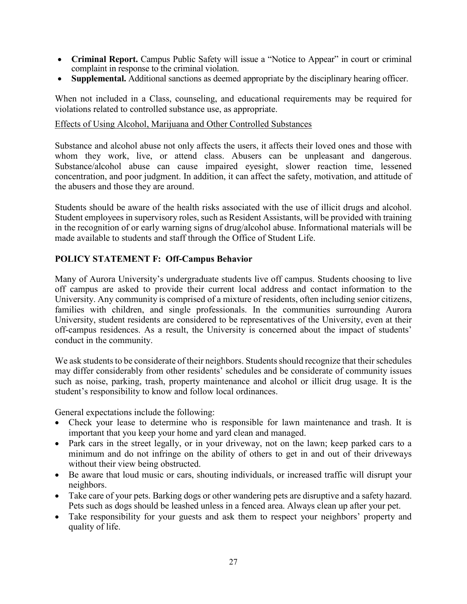- **Criminal Report.** Campus Public Safety will issue a "Notice to Appear" in court or criminal complaint in response to the criminal violation.
- **Supplemental.** Additional sanctions as deemed appropriate by the disciplinary hearing officer.

When not included in a Class, counseling, and educational requirements may be required for violations related to controlled substance use, as appropriate.

### Effects of Using Alcohol, Marijuana and Other Controlled Substances

Substance and alcohol abuse not only affects the users, it affects their loved ones and those with whom they work, live, or attend class. Abusers can be unpleasant and dangerous. Substance/alcohol abuse can cause impaired eyesight, slower reaction time, lessened concentration, and poor judgment. In addition, it can affect the safety, motivation, and attitude of the abusers and those they are around.

Students should be aware of the health risks associated with the use of illicit drugs and alcohol. Student employees in supervisory roles, such as Resident Assistants, will be provided with training in the recognition of or early warning signs of drug/alcohol abuse. Informational materials will be made available to students and staff through the Office of Student Life.

# **POLICY STATEMENT F: Off-Campus Behavior**

Many of Aurora University's undergraduate students live off campus. Students choosing to live off campus are asked to provide their current local address and contact information to the University. Any community is comprised of a mixture of residents, often including senior citizens, families with children, and single professionals. In the communities surrounding Aurora University, student residents are considered to be representatives of the University, even at their off-campus residences. As a result, the University is concerned about the impact of students' conduct in the community.

We ask students to be considerate of their neighbors. Students should recognize that their schedules may differ considerably from other residents' schedules and be considerate of community issues such as noise, parking, trash, property maintenance and alcohol or illicit drug usage. It is the student's responsibility to know and follow local ordinances.

General expectations include the following:

- Check your lease to determine who is responsible for lawn maintenance and trash. It is important that you keep your home and yard clean and managed.
- Park cars in the street legally, or in your driveway, not on the lawn; keep parked cars to a minimum and do not infringe on the ability of others to get in and out of their driveways without their view being obstructed.
- Be aware that loud music or cars, shouting individuals, or increased traffic will disrupt your neighbors.
- Take care of your pets. Barking dogs or other wandering pets are disruptive and a safety hazard. Pets such as dogs should be leashed unless in a fenced area. Always clean up after your pet.
- Take responsibility for your guests and ask them to respect your neighbors' property and quality of life.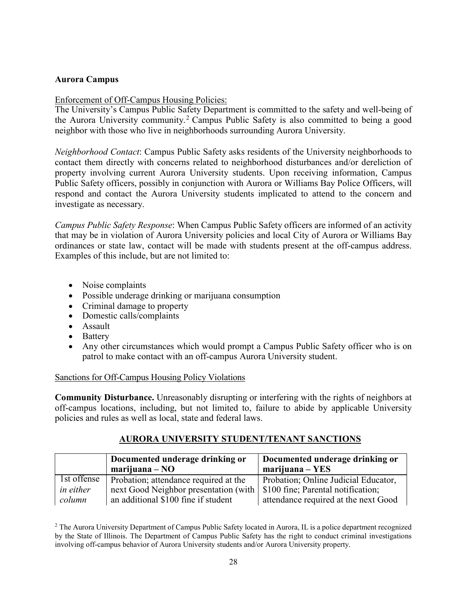## **Aurora Campus**

# Enforcement of Off-Campus Housing Policies:

The University's Campus Public Safety Department is committed to the safety and well-being of the Aurora University community.<sup>[2](#page-28-0)</sup> Campus Public Safety is also committed to being a good neighbor with those who live in neighborhoods surrounding Aurora University.

*Neighborhood Contact*: Campus Public Safety asks residents of the University neighborhoods to contact them directly with concerns related to neighborhood disturbances and/or dereliction of property involving current Aurora University students. Upon receiving information, Campus Public Safety officers, possibly in conjunction with Aurora or Williams Bay Police Officers, will respond and contact the Aurora University students implicated to attend to the concern and investigate as necessary.

*Campus Public Safety Response*: When Campus Public Safety officers are informed of an activity that may be in violation of Aurora University policies and local City of Aurora or Williams Bay ordinances or state law, contact will be made with students present at the off-campus address. Examples of this include, but are not limited to:

- Noise complaints
- Possible underage drinking or marijuana consumption
- Criminal damage to property
- Domestic calls/complaints
- Assault
- Battery
- Any other circumstances which would prompt a Campus Public Safety officer who is on patrol to make contact with an off-campus Aurora University student.

# Sanctions for Off-Campus Housing Policy Violations

**Community Disturbance.** Unreasonably disrupting or interfering with the rights of neighbors at off-campus locations, including, but not limited to, failure to abide by applicable University policies and rules as well as local, state and federal laws.

# **AURORA UNIVERSITY STUDENT/TENANT SANCTIONS**

|                  | Documented underage drinking or<br>$\text{mariju}$ ana – NO | Documented underage drinking or<br>$\text{mariju}$ ana – YES |
|------------------|-------------------------------------------------------------|--------------------------------------------------------------|
| 1st offense      | Probation; attendance required at the                       | Probation; Online Judicial Educator,                         |
| <i>in either</i> | next Good Neighbor presentation (with                       | \$100 fine; Parental notification;                           |
| column           | an additional \$100 fine if student                         | attendance required at the next Good                         |

<span id="page-28-0"></span><sup>2</sup> The Aurora University Department of Campus Public Safety located in Aurora, IL is a police department recognized by the State of Illinois. The Department of Campus Public Safety has the right to conduct criminal investigations involving off-campus behavior of Aurora University students and/or Aurora University property.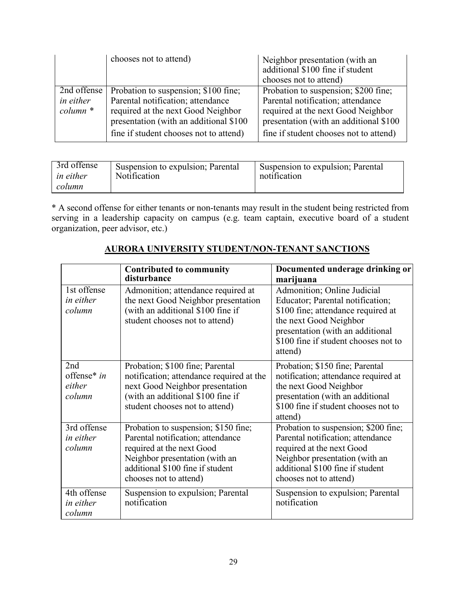|             | chooses not to attend)                 | Neighbor presentation (with an<br>additional \$100 fine if student<br>chooses not to attend) |
|-------------|----------------------------------------|----------------------------------------------------------------------------------------------|
| 2nd offense | Probation to suspension; \$100 fine;   | Probation to suspension; \$200 fine;                                                         |
| in either   | Parental notification; attendance      | Parental notification; attendance                                                            |
| $column *$  | required at the next Good Neighbor     | required at the next Good Neighbor                                                           |
|             | presentation (with an additional \$100 | presentation (with an additional \$100                                                       |
|             | fine if student chooses not to attend) | fine if student chooses not to attend)                                                       |

| 3rd offense      | Suspension to expulsion; Parental | Suspension to expulsion; Parental |
|------------------|-----------------------------------|-----------------------------------|
| <i>in either</i> | <b>Notification</b>               | notification                      |
| column           |                                   |                                   |

\* A second offense for either tenants or non-tenants may result in the student being restricted from serving in a leadership capacity on campus (e.g. team captain, executive board of a student organization, peer advisor, etc.)

|                                           | <b>Contributed to community</b><br>disturbance                                                                                                                                                         | Documented underage drinking or<br>marijuana                                                                                                                                                                           |
|-------------------------------------------|--------------------------------------------------------------------------------------------------------------------------------------------------------------------------------------------------------|------------------------------------------------------------------------------------------------------------------------------------------------------------------------------------------------------------------------|
| 1st offense<br><i>in either</i><br>column | Admonition; attendance required at<br>the next Good Neighbor presentation<br>(with an additional \$100 fine if<br>student chooses not to attend)                                                       | Admonition; Online Judicial<br>Educator; Parental notification;<br>\$100 fine; attendance required at<br>the next Good Neighbor<br>presentation (with an additional<br>\$100 fine if student chooses not to<br>attend) |
| 2nd<br>offense* in<br>either<br>column    | Probation; \$100 fine; Parental<br>notification; attendance required at the<br>next Good Neighbor presentation<br>(with an additional \$100 fine if<br>student chooses not to attend)                  | Probation; \$150 fine; Parental<br>notification; attendance required at<br>the next Good Neighbor<br>presentation (with an additional<br>\$100 fine if student chooses not to<br>attend)                               |
| 3rd offense<br><i>in either</i><br>column | Probation to suspension; \$150 fine;<br>Parental notification; attendance<br>required at the next Good<br>Neighbor presentation (with an<br>additional \$100 fine if student<br>chooses not to attend) | Probation to suspension; \$200 fine;<br>Parental notification; attendance<br>required at the next Good<br>Neighbor presentation (with an<br>additional \$100 fine if student<br>chooses not to attend)                 |
| 4th offense<br><i>in either</i><br>column | Suspension to expulsion; Parental<br>notification                                                                                                                                                      | Suspension to expulsion; Parental<br>notification                                                                                                                                                                      |

# **AURORA UNIVERSITY STUDENT/NON-TENANT SANCTIONS**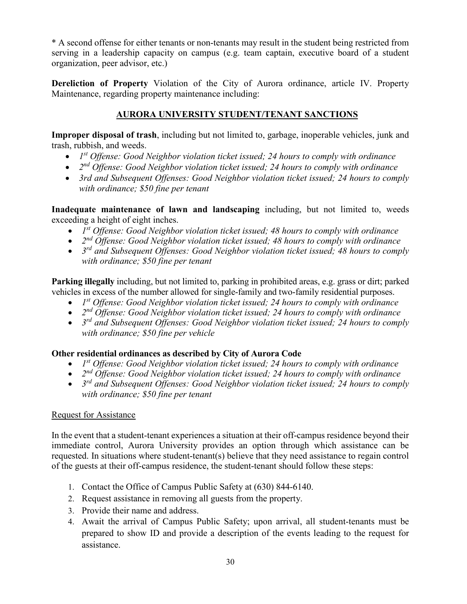\* A second offense for either tenants or non-tenants may result in the student being restricted from serving in a leadership capacity on campus (e.g. team captain, executive board of a student organization, peer advisor, etc.)

**Dereliction of Property** Violation of the City of Aurora ordinance, article IV. Property Maintenance, regarding property maintenance including:

# **AURORA UNIVERSITY STUDENT/TENANT SANCTIONS**

**Improper disposal of trash**, including but not limited to, garbage, inoperable vehicles, junk and trash, rubbish, and weeds.

- *1st Offense: Good Neighbor violation ticket issued; 24 hours to comply with ordinance*
- *2nd Offense: Good Neighbor violation ticket issued; 24 hours to comply with ordinance*
- *3rd and Subsequent Offenses: Good Neighbor violation ticket issued; 24 hours to comply with ordinance; \$50 fine per tenant*

**Inadequate maintenance of lawn and landscaping** including, but not limited to, weeds exceeding a height of eight inches.

- *1st Offense: Good Neighbor violation ticket issued; 48 hours to comply with ordinance*
- *2nd Offense: Good Neighbor violation ticket issued; 48 hours to comply with ordinance*
- *3rd and Subsequent Offenses: Good Neighbor violation ticket issued; 48 hours to comply with ordinance; \$50 fine per tenant*

**Parking illegally** including, but not limited to, parking in prohibited areas, e.g. grass or dirt; parked vehicles in excess of the number allowed for single-family and two-family residential purposes.

- *1st Offense: Good Neighbor violation ticket issued; 24 hours to comply with ordinance*
- *2nd Offense: Good Neighbor violation ticket issued; 24 hours to comply with ordinance*
- *3rd and Subsequent Offenses: Good Neighbor violation ticket issued; 24 hours to comply with ordinance; \$50 fine per vehicle*

# **Other residential ordinances as described by City of Aurora Code**

- *1st Offense: Good Neighbor violation ticket issued; 24 hours to comply with ordinance*
- *2nd Offense: Good Neighbor violation ticket issued; 24 hours to comply with ordinance*
- *3rd and Subsequent Offenses: Good Neighbor violation ticket issued; 24 hours to comply with ordinance; \$50 fine per tenant*

# Request for Assistance

In the event that a student-tenant experiences a situation at their off-campus residence beyond their immediate control, Aurora University provides an option through which assistance can be requested. In situations where student-tenant(s) believe that they need assistance to regain control of the guests at their off-campus residence, the student-tenant should follow these steps:

- 1. Contact the Office of Campus Public Safety at (630) 844-6140.
- 2. Request assistance in removing all guests from the property.
- 3. Provide their name and address.
- 4. Await the arrival of Campus Public Safety; upon arrival, all student-tenants must be prepared to show ID and provide a description of the events leading to the request for assistance.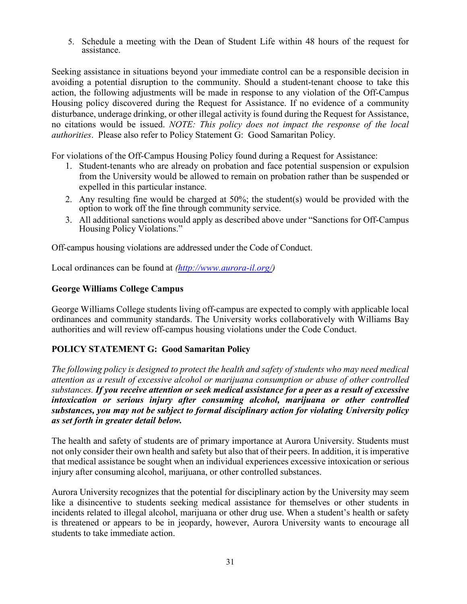5. Schedule a meeting with the Dean of Student Life within 48 hours of the request for assistance.

Seeking assistance in situations beyond your immediate control can be a responsible decision in avoiding a potential disruption to the community. Should a student-tenant choose to take this action, the following adjustments will be made in response to any violation of the Off-Campus Housing policy discovered during the Request for Assistance. If no evidence of a community disturbance, underage drinking, or other illegal activity is found during the Request for Assistance, no citations would be issued. *NOTE: This policy does not impact the response of the local authorities*. Please also refer to Policy Statement G: Good Samaritan Policy.

For violations of the Off-Campus Housing Policy found during a Request for Assistance:

- 1. Student-tenants who are already on probation and face potential suspension or expulsion from the University would be allowed to remain on probation rather than be suspended or expelled in this particular instance.
- 2. Any resulting fine would be charged at 50%; the student(s) would be provided with the option to work off the fine through community service.
- 3. All additional sanctions would apply as described above under "Sanctions for Off-Campus Housing Policy Violations."

Off-campus housing violations are addressed under the Code of Conduct.

Local ordinances can be found at *[\(http://www.aurora-il.org/\)](http://www.aurora-il.org/)* 

#### **George Williams College Campus**

George Williams College students living off-campus are expected to comply with applicable local ordinances and community standards. The University works collaboratively with Williams Bay authorities and will review off-campus housing violations under the Code Conduct.

### **POLICY STATEMENT G: Good Samaritan Policy**

*The following policy is designed to protect the health and safety of students who may need medical attention as a result of excessive alcohol or marijuana consumption or abuse of other controlled substances. If you receive attention or seek medical assistance for a peer as a result of excessive intoxication or serious injury after consuming alcohol, marijuana or other controlled substances, you may not be subject to formal disciplinary action for violating University policy as set forth in greater detail below.*

The health and safety of students are of primary importance at Aurora University. Students must not only consider their own health and safety but also that of their peers. In addition, it is imperative that medical assistance be sought when an individual experiences excessive intoxication or serious injury after consuming alcohol, marijuana, or other controlled substances.

Aurora University recognizes that the potential for disciplinary action by the University may seem like a disincentive to students seeking medical assistance for themselves or other students in incidents related to illegal alcohol, marijuana or other drug use. When a student's health or safety is threatened or appears to be in jeopardy, however, Aurora University wants to encourage all students to take immediate action.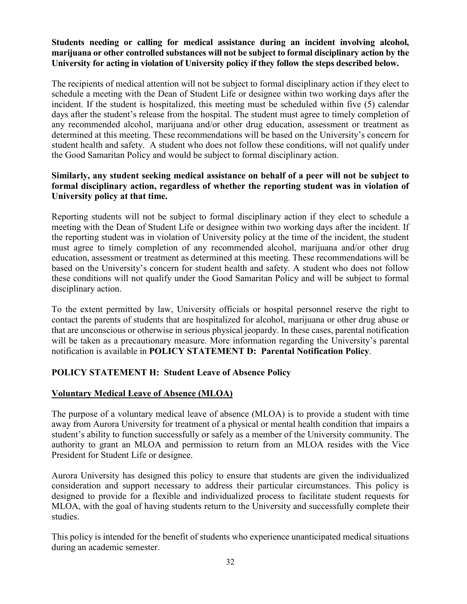## **Students needing or calling for medical assistance during an incident involving alcohol, marijuana or other controlled substances will not be subject to formal disciplinary action by the University for acting in violation of University policy if they follow the steps described below.**

The recipients of medical attention will not be subject to formal disciplinary action if they elect to schedule a meeting with the Dean of Student Life or designee within two working days after the incident. If the student is hospitalized, this meeting must be scheduled within five (5) calendar days after the student's release from the hospital. The student must agree to timely completion of any recommended alcohol, marijuana and/or other drug education, assessment or treatment as determined at this meeting. These recommendations will be based on the University's concern for student health and safety. A student who does not follow these conditions, will not qualify under the Good Samaritan Policy and would be subject to formal disciplinary action.

## **Similarly, any student seeking medical assistance on behalf of a peer will not be subject to formal disciplinary action, regardless of whether the reporting student was in violation of University policy at that time.**

Reporting students will not be subject to formal disciplinary action if they elect to schedule a meeting with the Dean of Student Life or designee within two working days after the incident. If the reporting student was in violation of University policy at the time of the incident, the student must agree to timely completion of any recommended alcohol, marijuana and/or other drug education, assessment or treatment as determined at this meeting. These recommendations will be based on the University's concern for student health and safety. A student who does not follow these conditions will not qualify under the Good Samaritan Policy and will be subject to formal disciplinary action.

To the extent permitted by law, University officials or hospital personnel reserve the right to contact the parents of students that are hospitalized for alcohol, marijuana or other drug abuse or that are unconscious or otherwise in serious physical jeopardy. In these cases, parental notification will be taken as a precautionary measure. More information regarding the University's parental notification is available in **POLICY STATEMENT D: Parental Notification Policy**.

# **POLICY STATEMENT H: Student Leave of Absence Policy**

# **Voluntary Medical Leave of Absence (MLOA)**

The purpose of a voluntary medical leave of absence (MLOA) is to provide a student with time away from Aurora University for treatment of a physical or mental health condition that impairs a student's ability to function successfully or safely as a member of the University community. The authority to grant an MLOA and permission to return from an MLOA resides with the Vice President for Student Life or designee.

Aurora University has designed this policy to ensure that students are given the individualized consideration and support necessary to address their particular circumstances. This policy is designed to provide for a flexible and individualized process to facilitate student requests for MLOA, with the goal of having students return to the University and successfully complete their studies.

This policy is intended for the benefit of students who experience unanticipated medical situations during an academic semester.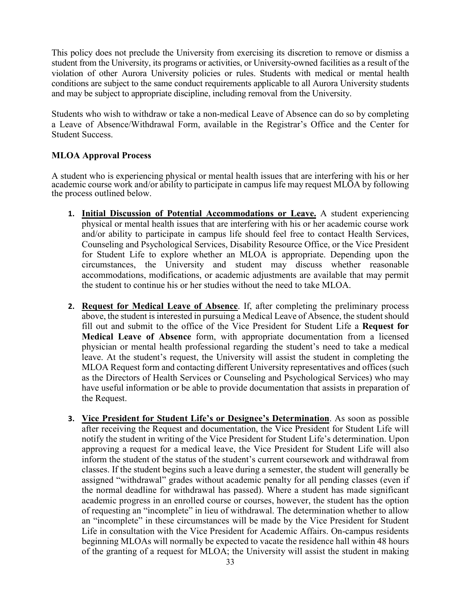This policy does not preclude the University from exercising its discretion to remove or dismiss a student from the University, its programs or activities, or University-owned facilities as a result of the violation of other Aurora University policies or rules. Students with medical or mental health conditions are subject to the same conduct requirements applicable to all Aurora University students and may be subject to appropriate discipline, including removal from the University.

Students who wish to withdraw or take a non-medical Leave of Absence can do so by completing a Leave of Absence/Withdrawal Form, available in the Registrar's Office and the Center for Student Success.

## **MLOA Approval Process**

A student who is experiencing physical or mental health issues that are interfering with his or her academic course work and/or ability to participate in campus life may request MLOA by following the process outlined below.

- **1. Initial Discussion of Potential Accommodations or Leave.** A student experiencing physical or mental health issues that are interfering with his or her academic course work and/or ability to participate in campus life should feel free to contact Health Services, Counseling and Psychological Services, Disability Resource Office, or the Vice President for Student Life to explore whether an MLOA is appropriate. Depending upon the circumstances, the University and student may discuss whether reasonable accommodations, modifications, or academic adjustments are available that may permit the student to continue his or her studies without the need to take MLOA.
- **2. Request for Medical Leave of Absence**. If, after completing the preliminary process above, the student is interested in pursuing a Medical Leave of Absence, the student should fill out and submit to the office of the Vice President for Student Life a **Request for Medical Leave of Absence** form, with appropriate documentation from a licensed physician or mental health professional regarding the student's need to take a medical leave. At the student's request, the University will assist the student in completing the MLOA Request form and contacting different University representatives and offices (such as the Directors of Health Services or Counseling and Psychological Services) who may have useful information or be able to provide documentation that assists in preparation of the Request.
- **3. Vice President for Student Life's or Designee's Determination**. As soon as possible after receiving the Request and documentation, the Vice President for Student Life will notify the student in writing of the Vice President for Student Life's determination. Upon approving a request for a medical leave, the Vice President for Student Life will also inform the student of the status of the student's current coursework and withdrawal from classes. If the student begins such a leave during a semester, the student will generally be assigned "withdrawal" grades without academic penalty for all pending classes (even if the normal deadline for withdrawal has passed). Where a student has made significant academic progress in an enrolled course or courses, however, the student has the option of requesting an "incomplete" in lieu of withdrawal. The determination whether to allow an "incomplete" in these circumstances will be made by the Vice President for Student Life in consultation with the Vice President for Academic Affairs. On-campus residents beginning MLOAs will normally be expected to vacate the residence hall within 48 hours of the granting of a request for MLOA; the University will assist the student in making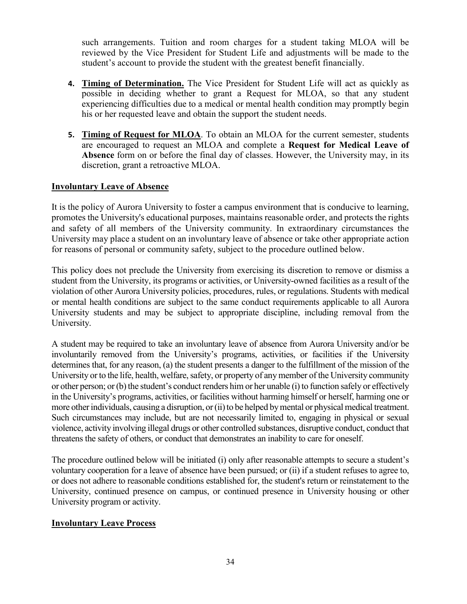such arrangements. Tuition and room charges for a student taking MLOA will be reviewed by the Vice President for Student Life and adjustments will be made to the student's account to provide the student with the greatest benefit financially.

- **4. Timing of Determination.** The Vice President for Student Life will act as quickly as possible in deciding whether to grant a Request for MLOA, so that any student experiencing difficulties due to a medical or mental health condition may promptly begin his or her requested leave and obtain the support the student needs.
- **5. Timing of Request for MLOA**. To obtain an MLOA for the current semester, students are encouraged to request an MLOA and complete a **Request for Medical Leave of Absence** form on or before the final day of classes. However, the University may, in its discretion, grant a retroactive MLOA.

## **Involuntary Leave of Absence**

It is the policy of Aurora University to foster a campus environment that is conducive to learning, promotes the University's educational purposes, maintains reasonable order, and protects the rights and safety of all members of the University community. In extraordinary circumstances the University may place a student on an involuntary leave of absence or take other appropriate action for reasons of personal or community safety, subject to the procedure outlined below.

This policy does not preclude the University from exercising its discretion to remove or dismiss a student from the University, its programs or activities, or University-owned facilities as a result of the violation of other Aurora University policies, procedures, rules, or regulations. Students with medical or mental health conditions are subject to the same conduct requirements applicable to all Aurora University students and may be subject to appropriate discipline, including removal from the University.

A student may be required to take an involuntary leave of absence from Aurora University and/or be involuntarily removed from the University's programs, activities, or facilities if the University determines that, for any reason, (a) the student presents a danger to the fulfillment of the mission of the University or to the life, health, welfare, safety, or property of any member of the University community or other person; or (b) the student's conduct renders him or her unable (i) to function safely or effectively in the University's programs, activities, or facilities without harming himself or herself, harming one or more other individuals, causing a disruption, or (ii) to be helped by mental or physical medical treatment. Such circumstances may include, but are not necessarily limited to, engaging in physical or sexual violence, activity involving illegal drugs or other controlled substances, disruptive conduct, conduct that threatens the safety of others, or conduct that demonstrates an inability to care for oneself.

The procedure outlined below will be initiated (i) only after reasonable attempts to secure a student's voluntary cooperation for a leave of absence have been pursued; or (ii) if a student refuses to agree to, or does not adhere to reasonable conditions established for, the student's return or reinstatement to the University, continued presence on campus, or continued presence in University housing or other University program or activity.

### **Involuntary Leave Process**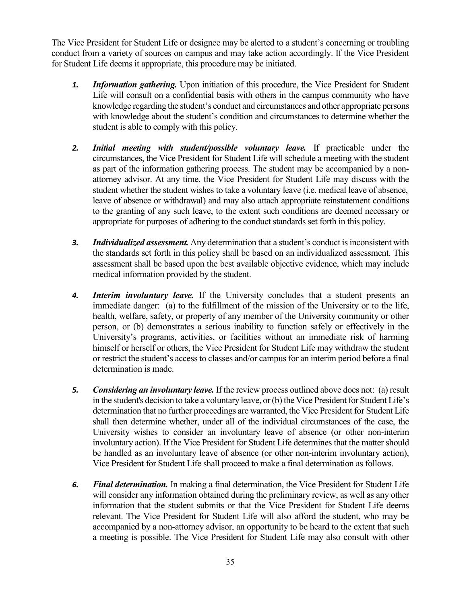The Vice President for Student Life or designee may be alerted to a student's concerning or troubling conduct from a variety of sources on campus and may take action accordingly. If the Vice President for Student Life deems it appropriate, this procedure may be initiated.

- *1. Information gathering.* Upon initiation of this procedure, the Vice President for Student Life will consult on a confidential basis with others in the campus community who have knowledge regarding the student's conduct and circumstances and other appropriate persons with knowledge about the student's condition and circumstances to determine whether the student is able to comply with this policy.
- *2. Initial meeting with student/possible voluntary leave.* If practicable under the circumstances, the Vice President for Student Life will schedule a meeting with the student as part of the information gathering process. The student may be accompanied by a nonattorney advisor. At any time, the Vice President for Student Life may discuss with the student whether the student wishes to take a voluntary leave (i.e. medical leave of absence, leave of absence or withdrawal) and may also attach appropriate reinstatement conditions to the granting of any such leave, to the extent such conditions are deemed necessary or appropriate for purposes of adhering to the conduct standards set forth in this policy.
- *3. Individualized assessment.* Any determination that a student's conduct is inconsistent with the standards set forth in this policy shall be based on an individualized assessment. This assessment shall be based upon the best available objective evidence, which may include medical information provided by the student.
- *4. Interim involuntary leave.* If the University concludes that a student presents an immediate danger: (a) to the fulfillment of the mission of the University or to the life, health, welfare, safety, or property of any member of the University community or other person, or (b) demonstrates a serious inability to function safely or effectively in the University's programs, activities, or facilities without an immediate risk of harming himself or herself or others, the Vice President for Student Life may withdraw the student or restrict the student's access to classes and/or campus for an interim period before a final determination is made.
- *5. Considering an involuntary leave.* If the review process outlined above does not: (a) result in the student's decision to take a voluntary leave, or (b) the Vice President for Student Life's determination that no further proceedings are warranted, the Vice President for Student Life shall then determine whether, under all of the individual circumstances of the case, the University wishes to consider an involuntary leave of absence (or other non-interim involuntary action). If the Vice President for Student Life determines that the matter should be handled as an involuntary leave of absence (or other non-interim involuntary action), Vice President for Student Life shall proceed to make a final determination as follows.
- *6. Final determination.* In making a final determination, the Vice President for Student Life will consider any information obtained during the preliminary review, as well as any other information that the student submits or that the Vice President for Student Life deems relevant. The Vice President for Student Life will also afford the student, who may be accompanied by a non-attorney advisor, an opportunity to be heard to the extent that such a meeting is possible. The Vice President for Student Life may also consult with other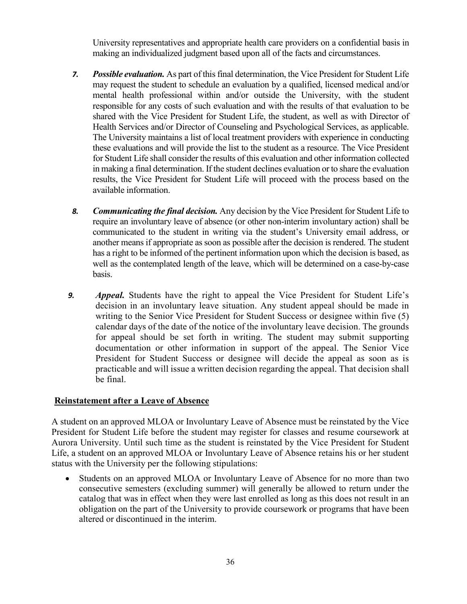University representatives and appropriate health care providers on a confidential basis in making an individualized judgment based upon all of the facts and circumstances.

- *7. Possible evaluation.* As part of this final determination, the Vice President for Student Life may request the student to schedule an evaluation by a qualified, licensed medical and/or mental health professional within and/or outside the University, with the student responsible for any costs of such evaluation and with the results of that evaluation to be shared with the Vice President for Student Life, the student, as well as with Director of Health Services and/or Director of Counseling and Psychological Services, as applicable. The University maintains a list of local treatment providers with experience in conducting these evaluations and will provide the list to the student as a resource. The Vice President for Student Life shall consider the results of this evaluation and other information collected in making a final determination. If the student declines evaluation or to share the evaluation results, the Vice President for Student Life will proceed with the process based on the available information.
- *8. Communicating the final decision.* Any decision by the Vice President for Student Life to require an involuntary leave of absence (or other non-interim involuntary action) shall be communicated to the student in writing via the student's University email address, or another means if appropriate as soon as possible after the decision is rendered. The student has a right to be informed of the pertinent information upon which the decision is based, as well as the contemplated length of the leave, which will be determined on a case-by-case basis.
- *9. Appeal.* Students have the right to appeal the Vice President for Student Life's decision in an involuntary leave situation. Any student appeal should be made in writing to the Senior Vice President for Student Success or designee within five (5) calendar days of the date of the notice of the involuntary leave decision. The grounds for appeal should be set forth in writing. The student may submit supporting documentation or other information in support of the appeal. The Senior Vice President for Student Success or designee will decide the appeal as soon as is practicable and will issue a written decision regarding the appeal. That decision shall be final.

### **Reinstatement after a Leave of Absence**

A student on an approved MLOA or Involuntary Leave of Absence must be reinstated by the Vice President for Student Life before the student may register for classes and resume coursework at Aurora University. Until such time as the student is reinstated by the Vice President for Student Life, a student on an approved MLOA or Involuntary Leave of Absence retains his or her student status with the University per the following stipulations:

• Students on an approved MLOA or Involuntary Leave of Absence for no more than two consecutive semesters (excluding summer) will generally be allowed to return under the catalog that was in effect when they were last enrolled as long as this does not result in an obligation on the part of the University to provide coursework or programs that have been altered or discontinued in the interim.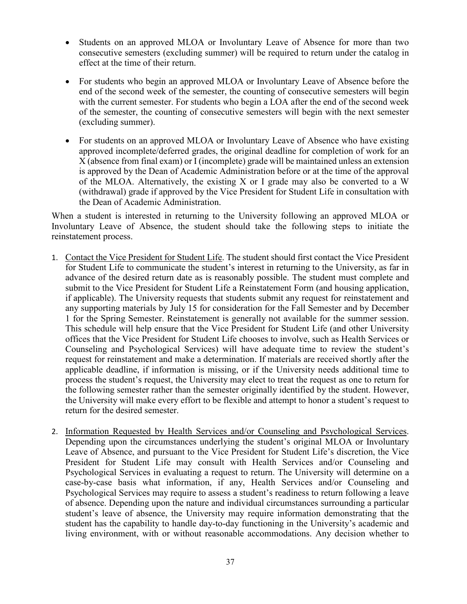- Students on an approved MLOA or Involuntary Leave of Absence for more than two consecutive semesters (excluding summer) will be required to return under the catalog in effect at the time of their return.
- For students who begin an approved MLOA or Involuntary Leave of Absence before the end of the second week of the semester, the counting of consecutive semesters will begin with the current semester. For students who begin a LOA after the end of the second week of the semester, the counting of consecutive semesters will begin with the next semester (excluding summer).
- For students on an approved MLOA or Involuntary Leave of Absence who have existing approved incomplete/deferred grades, the original deadline for completion of work for an X (absence from final exam) or I (incomplete) grade will be maintained unless an extension is approved by the Dean of Academic Administration before or at the time of the approval of the MLOA. Alternatively, the existing X or I grade may also be converted to a W (withdrawal) grade if approved by the Vice President for Student Life in consultation with the Dean of Academic Administration.

When a student is interested in returning to the University following an approved MLOA or Involuntary Leave of Absence, the student should take the following steps to initiate the reinstatement process.

- 1. Contact the Vice President for Student Life. The student should first contact the Vice President for Student Life to communicate the student's interest in returning to the University, as far in advance of the desired return date as is reasonably possible. The student must complete and submit to the Vice President for Student Life a Reinstatement Form (and housing application, if applicable). The University requests that students submit any request for reinstatement and any supporting materials by July 15 for consideration for the Fall Semester and by December 1 for the Spring Semester. Reinstatement is generally not available for the summer session. This schedule will help ensure that the Vice President for Student Life (and other University offices that the Vice President for Student Life chooses to involve, such as Health Services or Counseling and Psychological Services) will have adequate time to review the student's request for reinstatement and make a determination. If materials are received shortly after the applicable deadline, if information is missing, or if the University needs additional time to process the student's request, the University may elect to treat the request as one to return for the following semester rather than the semester originally identified by the student. However, the University will make every effort to be flexible and attempt to honor a student's request to return for the desired semester.
- 2. Information Requested by Health Services and/or Counseling and Psychological Services. Depending upon the circumstances underlying the student's original MLOA or Involuntary Leave of Absence, and pursuant to the Vice President for Student Life's discretion, the Vice President for Student Life may consult with Health Services and/or Counseling and Psychological Services in evaluating a request to return. The University will determine on a case-by-case basis what information, if any, Health Services and/or Counseling and Psychological Services may require to assess a student's readiness to return following a leave of absence. Depending upon the nature and individual circumstances surrounding a particular student's leave of absence, the University may require information demonstrating that the student has the capability to handle day-to-day functioning in the University's academic and living environment, with or without reasonable accommodations. Any decision whether to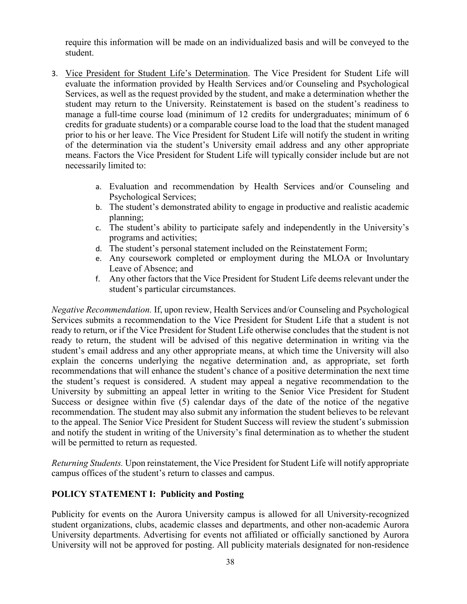require this information will be made on an individualized basis and will be conveyed to the student.

- 3. Vice President for Student Life's Determination. The Vice President for Student Life will evaluate the information provided by Health Services and/or Counseling and Psychological Services, as well as the request provided by the student, and make a determination whether the student may return to the University. Reinstatement is based on the student's readiness to manage a full-time course load (minimum of 12 credits for undergraduates; minimum of 6 credits for graduate students) or a comparable course load to the load that the student managed prior to his or her leave. The Vice President for Student Life will notify the student in writing of the determination via the student's University email address and any other appropriate means. Factors the Vice President for Student Life will typically consider include but are not necessarily limited to:
	- a. Evaluation and recommendation by Health Services and/or Counseling and Psychological Services;
	- b. The student's demonstrated ability to engage in productive and realistic academic planning;
	- c. The student's ability to participate safely and independently in the University's programs and activities;
	- d. The student's personal statement included on the Reinstatement Form;
	- e. Any coursework completed or employment during the MLOA or Involuntary Leave of Absence; and
	- f. Any other factors that the Vice President for Student Life deems relevant under the student's particular circumstances.

*Negative Recommendation.* If, upon review, Health Services and/or Counseling and Psychological Services submits a recommendation to the Vice President for Student Life that a student is not ready to return, or if the Vice President for Student Life otherwise concludes that the student is not ready to return, the student will be advised of this negative determination in writing via the student's email address and any other appropriate means, at which time the University will also explain the concerns underlying the negative determination and, as appropriate, set forth recommendations that will enhance the student's chance of a positive determination the next time the student's request is considered. A student may appeal a negative recommendation to the University by submitting an appeal letter in writing to the Senior Vice President for Student Success or designee within five (5) calendar days of the date of the notice of the negative recommendation. The student may also submit any information the student believes to be relevant to the appeal. The Senior Vice President for Student Success will review the student's submission and notify the student in writing of the University's final determination as to whether the student will be permitted to return as requested.

*Returning Students.* Upon reinstatement, the Vice President for Student Life will notify appropriate campus offices of the student's return to classes and campus.

# **POLICY STATEMENT I: Publicity and Posting**

Publicity for events on the Aurora University campus is allowed for all University-recognized student organizations, clubs, academic classes and departments, and other non-academic Aurora University departments. Advertising for events not affiliated or officially sanctioned by Aurora University will not be approved for posting. All publicity materials designated for non-residence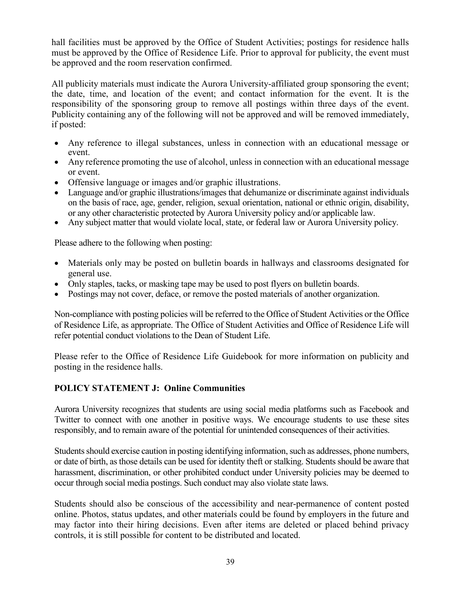hall facilities must be approved by the Office of Student Activities; postings for residence halls must be approved by the Office of Residence Life. Prior to approval for publicity, the event must be approved and the room reservation confirmed.

All publicity materials must indicate the Aurora University-affiliated group sponsoring the event; the date, time, and location of the event; and contact information for the event. It is the responsibility of the sponsoring group to remove all postings within three days of the event. Publicity containing any of the following will not be approved and will be removed immediately, if posted:

- Any reference to illegal substances, unless in connection with an educational message or event.
- Any reference promoting the use of alcohol, unless in connection with an educational message or event.
- Offensive language or images and/or graphic illustrations.
- Language and/or graphic illustrations/images that dehumanize or discriminate against individuals on the basis of race, age, gender, religion, sexual orientation, national or ethnic origin, disability, or any other characteristic protected by Aurora University policy and/or applicable law.
- Any subject matter that would violate local, state, or federal law or Aurora University policy.

Please adhere to the following when posting:

- Materials only may be posted on bulletin boards in hallways and classrooms designated for general use.
- Only staples, tacks, or masking tape may be used to post flyers on bulletin boards.
- Postings may not cover, deface, or remove the posted materials of another organization.

Non-compliance with posting policies will be referred to the Office of Student Activities or the Office of Residence Life, as appropriate. The Office of Student Activities and Office of Residence Life will refer potential conduct violations to the Dean of Student Life.

Please refer to the Office of Residence Life Guidebook for more information on publicity and posting in the residence halls.

# **POLICY STATEMENT J: Online Communities**

Aurora University recognizes that students are using social media platforms such as Facebook and Twitter to connect with one another in positive ways. We encourage students to use these sites responsibly, and to remain aware of the potential for unintended consequences of their activities.

Students should exercise caution in posting identifying information, such as addresses, phone numbers, or date of birth, as those details can be used for identity theft or stalking. Students should be aware that harassment, discrimination, or other prohibited conduct under University policies may be deemed to occur through social media postings. Such conduct may also violate state laws.

Students should also be conscious of the accessibility and near-permanence of content posted online. Photos, status updates, and other materials could be found by employers in the future and may factor into their hiring decisions. Even after items are deleted or placed behind privacy controls, it is still possible for content to be distributed and located.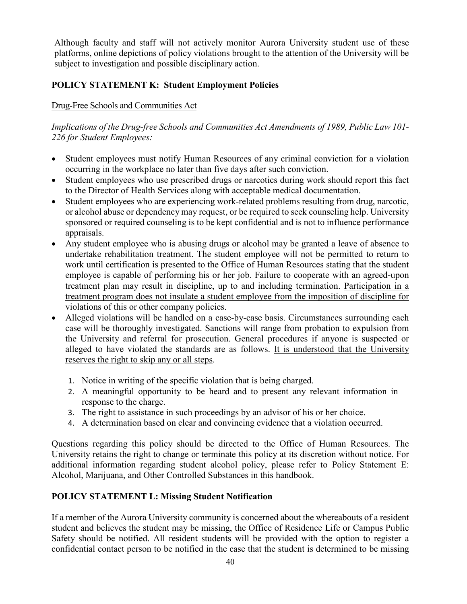Although faculty and staff will not actively monitor Aurora University student use of these platforms, online depictions of policy violations brought to the attention of the University will be subject to investigation and possible disciplinary action.

# **POLICY STATEMENT K: Student Employment Policies**

# Drug-Free Schools and Communities Act

*Implications of the Drug-free Schools and Communities Act Amendments of 1989, Public Law 101- 226 for Student Employees:* 

- Student employees must notify Human Resources of any criminal conviction for a violation occurring in the workplace no later than five days after such conviction.
- Student employees who use prescribed drugs or narcotics during work should report this fact to the Director of Health Services along with acceptable medical documentation.
- Student employees who are experiencing work-related problems resulting from drug, narcotic, or alcohol abuse or dependency may request, or be required to seek counseling help. University sponsored or required counseling is to be kept confidential and is not to influence performance appraisals.
- Any student employee who is abusing drugs or alcohol may be granted a leave of absence to undertake rehabilitation treatment. The student employee will not be permitted to return to work until certification is presented to the Office of Human Resources stating that the student employee is capable of performing his or her job. Failure to cooperate with an agreed-upon treatment plan may result in discipline, up to and including termination. Participation in a treatment program does not insulate a student employee from the imposition of discipline for violations of this or other company policies.
- Alleged violations will be handled on a case-by-case basis. Circumstances surrounding each case will be thoroughly investigated. Sanctions will range from probation to expulsion from the University and referral for prosecution. General procedures if anyone is suspected or alleged to have violated the standards are as follows. It is understood that the University reserves the right to skip any or all steps.
	- 1. Notice in writing of the specific violation that is being charged.
	- 2. A meaningful opportunity to be heard and to present any relevant information in response to the charge.
	- 3. The right to assistance in such proceedings by an advisor of his or her choice.
	- 4. A determination based on clear and convincing evidence that a violation occurred.

Questions regarding this policy should be directed to the Office of Human Resources. The University retains the right to change or terminate this policy at its discretion without notice. For additional information regarding student alcohol policy, please refer to Policy Statement E: Alcohol, Marijuana, and Other Controlled Substances in this handbook.

# **POLICY STATEMENT L: Missing Student Notification**

If a member of the Aurora University community is concerned about the whereabouts of a resident student and believes the student may be missing, the Office of Residence Life or Campus Public Safety should be notified. All resident students will be provided with the option to register a confidential contact person to be notified in the case that the student is determined to be missing